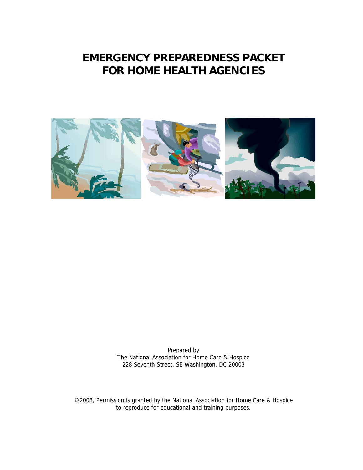# **EMERGENCY PREPAREDNESS PACKET FOR HOME HEALTH AGENCIES**



Prepared by The National Association for Home Care & Hospice 228 Seventh Street, SE Washington, DC 20003

©2008, Permission is granted by the National Association for Home Care & Hospice to reproduce for educational and training purposes.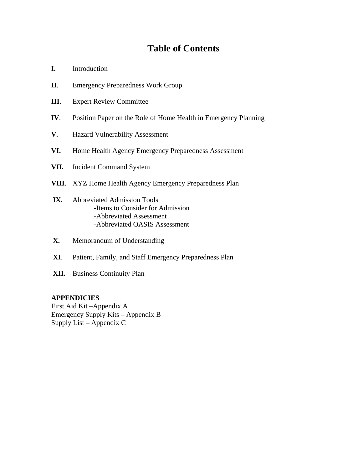## **Table of Contents**

- **I.** Introduction
- **II**. Emergency Preparedness Work Group
- **III**. Expert Review Committee
- **IV**. Position Paper on the Role of Home Health in Emergency Planning
- **V.** Hazard Vulnerability Assessment
- **VI.** Home Health Agency Emergency Preparedness Assessment
- **VII.** Incident Command System
- **VIII**. XYZ Home Health Agency Emergency Preparedness Plan
- **IX.** Abbreviated Admission Tools -Items to Consider for Admission -Abbreviated Assessment -Abbreviated OASIS Assessment
- **X.** Memorandum of Understanding
- **XI**. Patient, Family, and Staff Emergency Preparedness Plan
- **XII.** Business Continuity Plan

#### **APPENDICIES**

First Aid Kit –Appendix A Emergency Supply Kits – Appendix B Supply List – Appendix C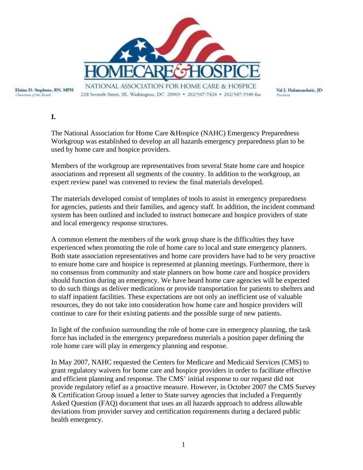

Elaine D. Stephens, RN, MPH Chairman of the Board

Val J. Halamandaris, JD President

**I.**

The National Association for Home Care &Hospice (NAHC) Emergency Preparedness Workgroup was established to develop an all hazards emergency preparedness plan to be used by home care and hospice providers.

Members of the workgroup are representatives from several State home care and hospice associations and represent all segments of the country. In addition to the workgroup, an expert review panel was convened to review the final materials developed.

The materials developed consist of templates of tools to assist in emergency preparedness for agencies, patients and their families, and agency staff. In addition, the incident command system has been outlined and included to instruct homecare and hospice providers of state and local emergency response structures.

A common element the members of the work group share is the difficulties they have experienced when promoting the role of home care to local and state emergency planners. Both state association representatives and home care providers have had to be very proactive to ensure home care and hospice is represented at planning meetings. Furthermore, there is no consensus from community and state planners on how home care and hospice providers should function during an emergency. We have heard home care agencies will be expected to do such things as deliver medications or provide transportation for patients to shelters and to staff inpatient facilities. These expectations are not only an inefficient use of valuable resources, they do not take into consideration how home care and hospice providers will continue to care for their existing patients and the possible surge of new patients.

In light of the confusion surrounding the role of home care in emergency planning, the task force has included in the emergency preparedness materials a position paper defining the role home care will play in emergency planning and response.

In May 2007, NAHC requested the Centers for Medicare and Medicaid Services (CMS) to grant regulatory waivers for home care and hospice providers in order to facilitate effective and efficient planning and response. The CMS' initial response to our request did not provide regulatory relief as a proactive measure. However, in October 2007 the CMS Survey & Certification Group issued a letter to State survey agencies that included a Frequently Asked Question (FAQ) document that uses an all hazards approach to address allowable deviations from provider survey and certification requirements during a declared public health emergency.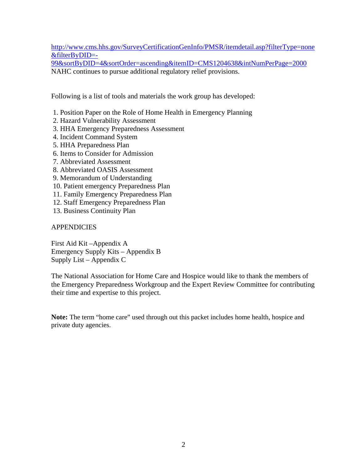http://www.cms.hhs.gov/SurveyCertificationGenInfo/PMSR/itemdetail.asp?filterType=none &filterByDID=-

99&sortByDID=4&sortOrder=ascending&itemID=CMS1204638&intNumPerPage=2000 NAHC continues to pursue additional regulatory relief provisions.

Following is a list of tools and materials the work group has developed:

- 1. Position Paper on the Role of Home Health in Emergency Planning
- 2. Hazard Vulnerability Assessment
- 3. HHA Emergency Preparedness Assessment
- 4. Incident Command System
- 5. HHA Preparedness Plan
- 6. Items to Consider for Admission
- 7. Abbreviated Assessment
- 8. Abbreviated OASIS Assessment
- 9. Memorandum of Understanding
- 10. Patient emergency Preparedness Plan
- 11. Family Emergency Preparedness Plan
- 12. Staff Emergency Preparedness Plan
- 13. Business Continuity Plan

#### **APPENDICIES**

First Aid Kit –Appendix A Emergency Supply Kits – Appendix B Supply List – Appendix C

The National Association for Home Care and Hospice would like to thank the members of the Emergency Preparedness Workgroup and the Expert Review Committee for contributing their time and expertise to this project.

**Note:** The term "home care" used through out this packet includes home health, hospice and private duty agencies.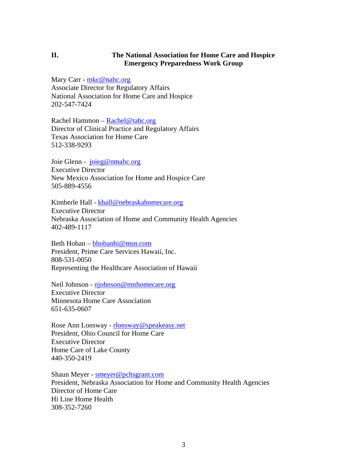#### **II. The National Association for Home Care and Hospice Emergency Preparedness Work Group**

Mary Carr - mkc@nahc.org Associate Director for Regulatory Affairs National Association for Home Care and Hospice 202-547-7424

Rachel Hammon – Rachel@tahc.org Director of Clinical Practice and Regulatory Affairs Texas Association for Home Care 512-338-9293

Joie Glenn - joieg@nmahc.org Executive Director New Mexico Association for Home and Hospice Care 505-889-4556

Kimberle Hall - khall@nebraskahomecare.org Executive Director Nebraska Association of Home and Community Health Agencies 402-489-1117

Beth Hoban – bhobanhi@msn.com President, Prime Care Services Hawaii, Inc. 808-531-0050 Representing the Healthcare Association of Hawaii

Neil Johnson - njohnson@mnhomecare.org Executive Director Minnesota Home Care Association 651-635-0607

Rose Ann Lonsway - rlonsway@speakeasy.net President, Ohio Council for Home Care Executive Director Home Care of Lake County 440-350-2419

Shaun Meyer - smeyer@pchsgrant.com

President, Nebraska Association for Home and Community Health Agencies Director of Home Care Hi Line Home Health 308-352-7260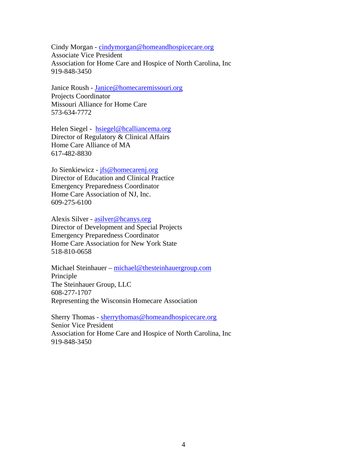Cindy Morgan - cindymorgan@homeandhospicecare.org Associate Vice President Association for Home Care and Hospice of North Carolina, Inc 919-848-3450

Janice Roush - Janice@homecaremissouri.org Projects Coordinator Missouri Alliance for Home Care 573-634-7772

Helen Siegel - hsiegel@hcalliancema.org Director of Regulatory & Clinical Affairs Home Care Alliance of MA 617-482-8830

Jo Sienkiewicz - jfs@homecarenj.org Director of Education and Clinical Practice Emergency Preparedness Coordinator Home Care Association of NJ, Inc. 609-275-6100

Alexis Silver - asilver@hcanys.org Director of Development and Special Projects Emergency Preparedness Coordinator Home Care Association for New York State 518-810-0658

Michael Steinhauer – michael@thesteinhauergroup.com Principle The Steinhauer Group, LLC 608-277-1707 Representing the Wisconsin Homecare Association

Sherry Thomas - sherrythomas@homeandhospicecare.org Senior Vice President Association for Home Care and Hospice of North Carolina, Inc 919-848-3450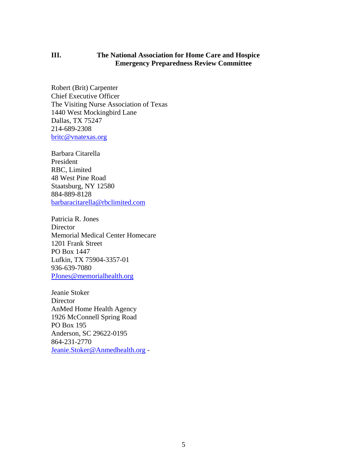#### **III. The National Association for Home Care and Hospice Emergency Preparedness Review Committee**

Robert (Brit) Carpenter Chief Executive Officer The Visiting Nurse Association of Texas 1440 West Mockingbird Lane Dallas, TX 75247 214-689-2308 britc@vnatexas.org

Barbara Citarella President RBC, Limited 48 West Pine Road Staatsburg, NY 12580 884-889-8128 barbaracitarella@rbclimited.com

Patricia R. Jones **Director** Memorial Medical Center Homecare 1201 Frank Street PO Box 1447 Lufkin, TX 75904-3357-01 936-639-7080 PJones@memorialhealth.org

Jeanie Stoker Director AnMed Home Health Agency 1926 McConnell Spring Road PO Box 195 Anderson, SC 29622-0195 864-231-2770 Jeanie.Stoker@Anmedhealth.org -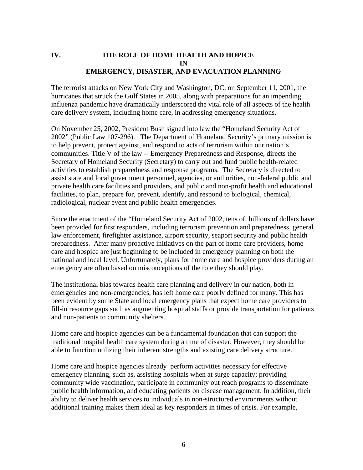### **IV. THE ROLE OF HOME HEALTH AND HOPICE IN EMERGENCY, DISASTER, AND EVACUATION PLANNING**

The terrorist attacks on New York City and Washington, DC, on September 11, 2001, the hurricanes that struck the Gulf States in 2005, along with preparations for an impending influenza pandemic have dramatically underscored the vital role of all aspects of the health care delivery system, including home care, in addressing emergency situations.

On November 25, 2002, President Bush signed into law the "Homeland Security Act of 2002" (Public Law 107-296). The Department of Homeland Security's primary mission is to help prevent, protect against, and respond to acts of terrorism within our nation's communities. Title V of the law -- Emergency Preparedness and Response, directs the Secretary of Homeland Security (Secretary) to carry out and fund public health-related activities to establish preparedness and response programs. The Secretary is directed to assist state and local government personnel, agencies, or authorities, non-federal public and private health care facilities and providers, and public and non-profit health and educational facilities, to plan, prepare for, prevent, identify, and respond to biological, chemical, radiological, nuclear event and public health emergencies.

Since the enactment of the "Homeland Security Act of 2002, tens of billions of dollars have been provided for first responders, including terrorism prevention and preparedness, general law enforcement, firefighter assistance, airport security, seaport security and public health preparedness. After many proactive initiatives on the part of home care providers, home care and hospice are just beginning to be included in emergency planning on both the national and local level. Unfortunately, plans for home care and hospice providers during an emergency are often based on misconceptions of the role they should play.

The institutional bias towards health care planning and delivery in our nation, both in emergencies and non-emergencies, has left home care poorly defined for many. This has been evident by some State and local emergency plans that expect home care providers to fill-in resource gaps such as augmenting hospital staffs or provide transportation for patients and non-patients to community shelters.

Home care and hospice agencies can be a fundamental foundation that can support the traditional hospital health care system during a time of disaster. However, they should be able to function utilizing their inherent strengths and existing care delivery structure.

Home care and hospice agencies already perform activities necessary for effective emergency planning, such as, assisting hospitals when at surge capacity; providing community wide vaccination, participate in community out reach programs to disseminate public health information, and educating patients on disease management. In addition, their ability to deliver health services to individuals in non-structured environments without additional training makes them ideal as key responders in times of crisis. For example,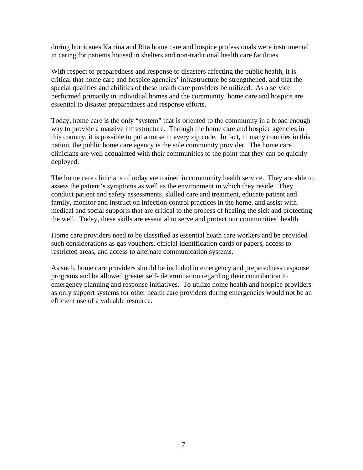during hurricanes Katrina and Rita home care and hospice professionals were instrumental in caring for patients housed in shelters and non-traditional health care facilities.

With respect to preparedness and response to disasters affecting the public health, it is critical that home care and hospice agencies' infrastructure be strengthened, and that the special qualities and abilities of these health care providers be utilized. As a service performed primarily in individual homes and the community, home care and hospice are essential to disaster preparedness and response efforts.

Today, home care is the only "system" that is oriented to the community in a broad enough way to provide a massive infrastructure. Through the home care and hospice agencies in this country, it is possible to put a nurse in every zip code. In fact, in many counties in this nation, the public home care agency is the sole community provider. The home care clinicians are well acquainted with their communities to the point that they can be quickly deployed.

The home care clinicians of today are trained in community health service. They are able to assess the patient's symptoms as well as the environment in which they reside. They conduct patient and safety assessments, skilled care and treatment, educate patient and family, monitor and instruct on infection control practices in the home, and assist with medical and social supports that are critical to the process of healing the sick and protecting the well. Today, these skills are essential to serve and protect our communities' health.

Home care providers need to be classified as essential heath care workers and be provided such considerations as gas vouchers, official identification cards or papers, access to restricted areas, and access to alternate communication systems.

As such, home care providers should be included in emergency and preparedness response programs and be allowed greater self- determination regarding their contribution to emergency planning and response initiatives. To utilize home health and hospice providers as only support systems for other health care providers during emergencies would not be an efficient use of a valuable resource.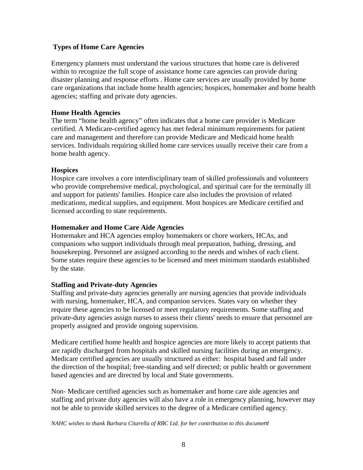#### **Types of Home Care Agencies**

Emergency planners must understand the various structures that home care is delivered within to recognize the full scope of assistance home care agencies can provide during disaster planning and response efforts . Home care services are usually provided by home care organizations that include home health agencies; hospices, homemaker and home health agencies; staffing and private duty agencies.

#### **Home Health Agencies**

The term "home health agency" often indicates that a home care provider is Medicare certified. A Medicare-certified agency has met federal minimum requirements for patient care and management and therefore can provide Medicare and Medicaid home health services. Individuals requiring skilled home care services usually receive their care from a home health agency.

#### **Hospices**

Hospice care involves a core interdisciplinary team of skilled professionals and volunteers who provide comprehensive medical, psychological, and spiritual care for the terminally ill and support for patients' families. Hospice care also includes the provision of related medications, medical supplies, and equipment. Most hospices are Medicare certified and licensed according to state requirements.

#### **Homemaker and Home Care Aide Agencies**

Homemaker and HCA agencies employ homemakers or chore workers, HCAs, and companions who support individuals through meal preparation, bathing, dressing, and housekeeping. Personnel are assigned according to the needs and wishes of each client. Some states require these agencies to be licensed and meet minimum standards established by the state.

#### **Staffing and Private-duty Agencies**

Staffing and private-duty agencies generally are nursing agencies that provide individuals with nursing, homemaker, HCA, and companion services. States vary on whether they require these agencies to be licensed or meet regulatory requirements. Some staffing and private-duty agencies assign nurses to assess their clients' needs to ensure that personnel are properly assigned and provide ongoing supervision.

Medicare certified home health and hospice agencies are more likely to accept patients that are rapidly discharged from hospitals and skilled nursing facilities during an emergency. Medicare certified agencies are usually structured as either: hospital based and fall under the direction of the hospital; free-standing and self directed; or public health or government based agencies and are directed by local and State governments.

Non- Medicare certified agencies such as homemaker and home care aide agencies and staffing and private duty agencies will also have a role in emergency planning, however may not be able to provide skilled services to the degree of a Medicare certified agency.

#### *NAHC wishes to thank Barbara Citarella of RBC Ltd. for her contribution to this document*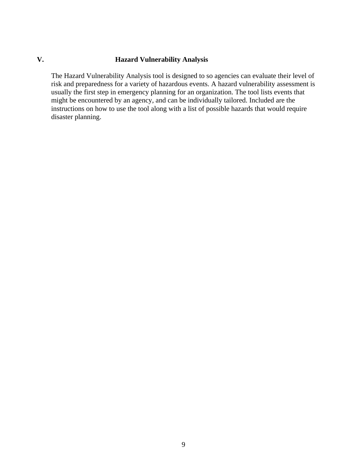#### **V. Hazard Vulnerability Analysis**

The Hazard Vulnerability Analysis tool is designed to so agencies can evaluate their level of risk and preparedness for a variety of hazardous events. A hazard vulnerability assessment is usually the first step in emergency planning for an organization. The tool lists events that might be encountered by an agency, and can be individually tailored. Included are the instructions on how to use the tool along with a list of possible hazards that would require disaster planning.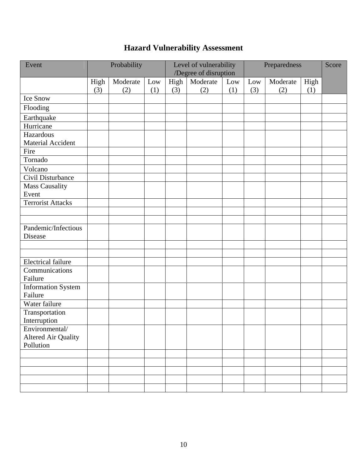### **Hazard Vulnerability Assessment**

| Event                     | Probability |          | Level of vulnerability |      | Preparedness |     | Score |          |      |  |
|---------------------------|-------------|----------|------------------------|------|--------------|-----|-------|----------|------|--|
|                           |             |          | /Degree of disruption  |      |              |     |       |          |      |  |
|                           | High        | Moderate | Low                    | High | Moderate     | Low | Low   | Moderate | High |  |
|                           | (3)         | (2)      | (1)                    | (3)  | (2)          | (1) | (3)   | (2)      | (1)  |  |
| Ice Snow                  |             |          |                        |      |              |     |       |          |      |  |
| Flooding                  |             |          |                        |      |              |     |       |          |      |  |
| Earthquake                |             |          |                        |      |              |     |       |          |      |  |
| Hurricane                 |             |          |                        |      |              |     |       |          |      |  |
| Hazardous                 |             |          |                        |      |              |     |       |          |      |  |
| Material Accident         |             |          |                        |      |              |     |       |          |      |  |
| Fire                      |             |          |                        |      |              |     |       |          |      |  |
| Tornado                   |             |          |                        |      |              |     |       |          |      |  |
| Volcano                   |             |          |                        |      |              |     |       |          |      |  |
| Civil Disturbance         |             |          |                        |      |              |     |       |          |      |  |
| <b>Mass Causality</b>     |             |          |                        |      |              |     |       |          |      |  |
| Event                     |             |          |                        |      |              |     |       |          |      |  |
| <b>Terrorist Attacks</b>  |             |          |                        |      |              |     |       |          |      |  |
|                           |             |          |                        |      |              |     |       |          |      |  |
|                           |             |          |                        |      |              |     |       |          |      |  |
| Pandemic/Infectious       |             |          |                        |      |              |     |       |          |      |  |
| Disease                   |             |          |                        |      |              |     |       |          |      |  |
|                           |             |          |                        |      |              |     |       |          |      |  |
|                           |             |          |                        |      |              |     |       |          |      |  |
| <b>Electrical failure</b> |             |          |                        |      |              |     |       |          |      |  |
| Communications            |             |          |                        |      |              |     |       |          |      |  |
| Failure                   |             |          |                        |      |              |     |       |          |      |  |
| <b>Information System</b> |             |          |                        |      |              |     |       |          |      |  |
| Failure                   |             |          |                        |      |              |     |       |          |      |  |
| Water failure             |             |          |                        |      |              |     |       |          |      |  |
| Transportation            |             |          |                        |      |              |     |       |          |      |  |
| Interruption              |             |          |                        |      |              |     |       |          |      |  |
| Environmental/            |             |          |                        |      |              |     |       |          |      |  |
| Altered Air Quality       |             |          |                        |      |              |     |       |          |      |  |
| Pollution                 |             |          |                        |      |              |     |       |          |      |  |
|                           |             |          |                        |      |              |     |       |          |      |  |
|                           |             |          |                        |      |              |     |       |          |      |  |
|                           |             |          |                        |      |              |     |       |          |      |  |
|                           |             |          |                        |      |              |     |       |          |      |  |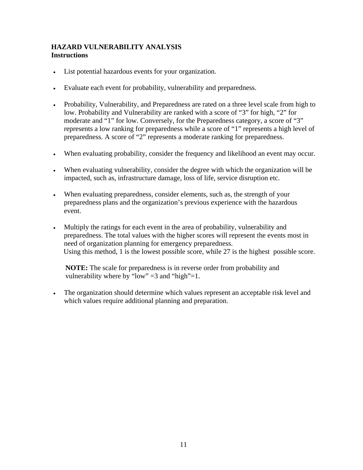#### **HAZARD VULNERABILITY ANALYSIS Instructions**

- List potential hazardous events for your organization.
- Evaluate each event for probability, vulnerability and preparedness.
- Probability, Vulnerability, and Preparedness are rated on a three level scale from high to low. Probability and Vulnerability are ranked with a score of "3" for high, "2" for moderate and "1" for low. Conversely, for the Preparedness category, a score of "3" represents a low ranking for preparedness while a score of "1" represents a high level of preparedness. A score of "2" represents a moderate ranking for preparedness.
- When evaluating probability, consider the frequency and likelihood an event may occur.
- When evaluating vulnerability, consider the degree with which the organization will be impacted, such as, infrastructure damage, loss of life, service disruption etc.
- When evaluating preparedness, consider elements, such as, the strength of your preparedness plans and the organization's previous experience with the hazardous event.
- Multiply the ratings for each event in the area of probability, vulnerability and preparedness. The total values with the higher scores will represent the events most in need of organization planning for emergency preparedness. Using this method, 1 is the lowest possible score, while 27 is the highest possible score.

**NOTE:** The scale for preparedness is in reverse order from probability and vulnerability where by "low"  $=3$  and "high" $=1$ .

 The organization should determine which values represent an acceptable risk level and which values require additional planning and preparation.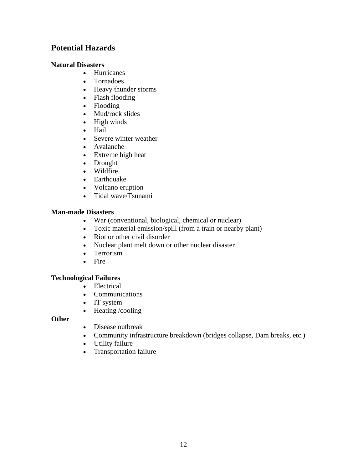### **Potential Hazards**

#### **Natural Disasters**

- Hurricanes
- Tornadoes
- Heavy thunder storms
- Flash flooding
- Flooding
- Mud/rock slides
- High winds
- Hail
- Severe winter weather
- Avalanche
- Extreme high heat
- Drought
- Wildfire
- Earthquake
- Volcano eruption
- Tidal wave/Tsunami

#### **Man-made Disasters**

- War (conventional, biological, chemical or nuclear)
- Toxic material emission/spill (from a train or nearby plant)
- Riot or other civil disorder
- Nuclear plant melt down or other nuclear disaster
- Terrorism
- Fire

#### **Technological Failures**

- Electrical
- Communications
- IT system
- $\bullet$  Heating /cooling

#### **Other**

- Disease outbreak
- Community infrastructure breakdown (bridges collapse, Dam breaks, etc.)
- Utility failure
- Transportation failure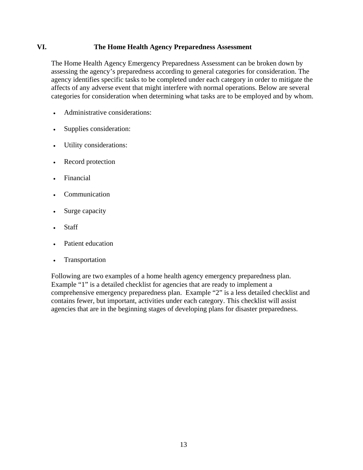#### **VI. The Home Health Agency Preparedness Assessment**

The Home Health Agency Emergency Preparedness Assessment can be broken down by assessing the agency's preparedness according to general categories for consideration. The agency identifies specific tasks to be completed under each category in order to mitigate the affects of any adverse event that might interfere with normal operations. Below are several categories for consideration when determining what tasks are to be employed and by whom.

- Administrative considerations:
- Supplies consideration:
- Utility considerations:
- Record protection
- Financial
- Communication
- Surge capacity
- **Staff**
- Patient education
- Transportation

Following are two examples of a home health agency emergency preparedness plan. Example "1" is a detailed checklist for agencies that are ready to implement a comprehensive emergency preparedness plan. Example "2" is a less detailed checklist and contains fewer, but important, activities under each category. This checklist will assist agencies that are in the beginning stages of developing plans for disaster preparedness.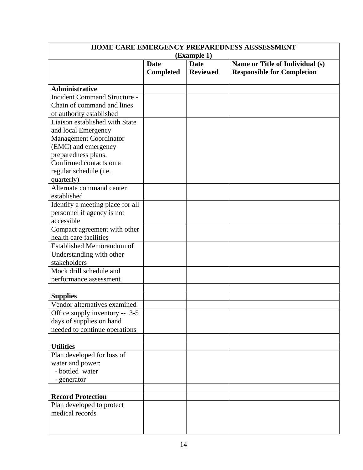| <b>HOME CARE EMERGENCY PREPAREDNESS AESSESSMENT</b> |                  |                 |                                   |  |  |  |
|-----------------------------------------------------|------------------|-----------------|-----------------------------------|--|--|--|
| (Example 1)                                         |                  |                 |                                   |  |  |  |
|                                                     | <b>Date</b>      | <b>Date</b>     | Name or Title of Individual (s)   |  |  |  |
|                                                     | <b>Completed</b> | <b>Reviewed</b> | <b>Responsible for Completion</b> |  |  |  |
| <b>Administrative</b>                               |                  |                 |                                   |  |  |  |
| <b>Incident Command Structure -</b>                 |                  |                 |                                   |  |  |  |
| Chain of command and lines                          |                  |                 |                                   |  |  |  |
| of authority established                            |                  |                 |                                   |  |  |  |
| Liaison established with State                      |                  |                 |                                   |  |  |  |
| and local Emergency                                 |                  |                 |                                   |  |  |  |
| <b>Management Coordinator</b>                       |                  |                 |                                   |  |  |  |
| (EMC) and emergency                                 |                  |                 |                                   |  |  |  |
| preparedness plans.                                 |                  |                 |                                   |  |  |  |
| Confirmed contacts on a                             |                  |                 |                                   |  |  |  |
| regular schedule (i.e.                              |                  |                 |                                   |  |  |  |
| quarterly)                                          |                  |                 |                                   |  |  |  |
| Alternate command center                            |                  |                 |                                   |  |  |  |
| established                                         |                  |                 |                                   |  |  |  |
| Identify a meeting place for all                    |                  |                 |                                   |  |  |  |
| personnel if agency is not<br>accessible            |                  |                 |                                   |  |  |  |
| Compact agreement with other                        |                  |                 |                                   |  |  |  |
| health care facilities                              |                  |                 |                                   |  |  |  |
| Established Memorandum of                           |                  |                 |                                   |  |  |  |
| Understanding with other                            |                  |                 |                                   |  |  |  |
| stakeholders                                        |                  |                 |                                   |  |  |  |
| Mock drill schedule and                             |                  |                 |                                   |  |  |  |
| performance assessment                              |                  |                 |                                   |  |  |  |
|                                                     |                  |                 |                                   |  |  |  |
| <b>Supplies</b>                                     |                  |                 |                                   |  |  |  |
| Vendor alternatives examined                        |                  |                 |                                   |  |  |  |
| Office supply inventory -- 3-5                      |                  |                 |                                   |  |  |  |
| days of supplies on hand                            |                  |                 |                                   |  |  |  |
| needed to continue operations                       |                  |                 |                                   |  |  |  |
|                                                     |                  |                 |                                   |  |  |  |
| <b>Utilities</b>                                    |                  |                 |                                   |  |  |  |
| Plan developed for loss of<br>water and power:      |                  |                 |                                   |  |  |  |
| - bottled water                                     |                  |                 |                                   |  |  |  |
| - generator                                         |                  |                 |                                   |  |  |  |
|                                                     |                  |                 |                                   |  |  |  |
| <b>Record Protection</b>                            |                  |                 |                                   |  |  |  |
| Plan developed to protect                           |                  |                 |                                   |  |  |  |
| medical records                                     |                  |                 |                                   |  |  |  |
|                                                     |                  |                 |                                   |  |  |  |
|                                                     |                  |                 |                                   |  |  |  |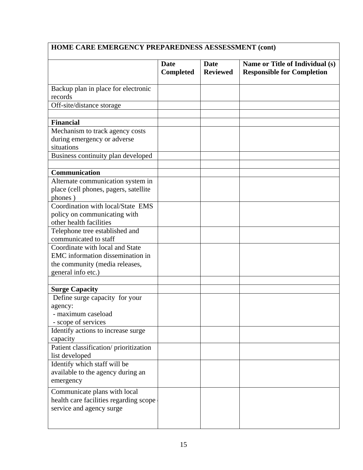|                                                          | <b>Date</b>      | Date            | Name or Title of Individual (s)   |
|----------------------------------------------------------|------------------|-----------------|-----------------------------------|
|                                                          | <b>Completed</b> | <b>Reviewed</b> | <b>Responsible for Completion</b> |
| Backup plan in place for electronic                      |                  |                 |                                   |
| records                                                  |                  |                 |                                   |
| Off-site/distance storage                                |                  |                 |                                   |
|                                                          |                  |                 |                                   |
| <b>Financial</b>                                         |                  |                 |                                   |
| Mechanism to track agency costs                          |                  |                 |                                   |
| during emergency or adverse<br>situations                |                  |                 |                                   |
| Business continuity plan developed                       |                  |                 |                                   |
|                                                          |                  |                 |                                   |
| Communication                                            |                  |                 |                                   |
| Alternate communication system in                        |                  |                 |                                   |
| place (cell phones, pagers, satellite                    |                  |                 |                                   |
| phones)                                                  |                  |                 |                                   |
| Coordination with local/State EMS                        |                  |                 |                                   |
| policy on communicating with                             |                  |                 |                                   |
| other health facilities                                  |                  |                 |                                   |
| Telephone tree established and                           |                  |                 |                                   |
| communicated to staff<br>Coordinate with local and State |                  |                 |                                   |
| EMC information dissemination in                         |                  |                 |                                   |
| the community (media releases,                           |                  |                 |                                   |
| general info etc.)                                       |                  |                 |                                   |
|                                                          |                  |                 |                                   |
| <b>Surge Capacity</b>                                    |                  |                 |                                   |
| Define surge capacity for your                           |                  |                 |                                   |
| agency:                                                  |                  |                 |                                   |
| - maximum caseload                                       |                  |                 |                                   |
| - scope of services                                      |                  |                 |                                   |
| Identify actions to increase surge                       |                  |                 |                                   |
| capacity                                                 |                  |                 |                                   |
| Patient classification/prioritization<br>list developed  |                  |                 |                                   |
| Identify which staff will be                             |                  |                 |                                   |
| available to the agency during an                        |                  |                 |                                   |
| emergency                                                |                  |                 |                                   |
| Communicate plans with local                             |                  |                 |                                   |
| health care facilities regarding scope                   |                  |                 |                                   |
| service and agency surge                                 |                  |                 |                                   |
|                                                          |                  |                 |                                   |
|                                                          |                  |                 |                                   |

## **HOME CARE EMERGENCY PREPAREDNESS AESSESSMENT (cont)**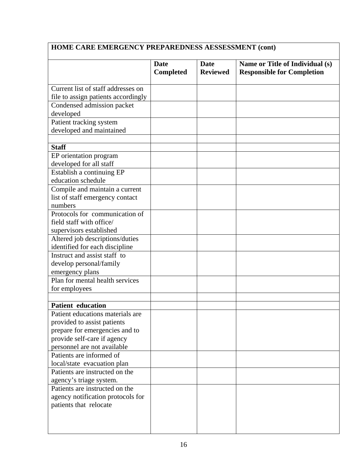|                                     | Date             | <b>Date</b>     | Name or Title of Individual (s)   |
|-------------------------------------|------------------|-----------------|-----------------------------------|
|                                     | <b>Completed</b> | <b>Reviewed</b> | <b>Responsible for Completion</b> |
| Current list of staff addresses on  |                  |                 |                                   |
| file to assign patients accordingly |                  |                 |                                   |
| Condensed admission packet          |                  |                 |                                   |
| developed                           |                  |                 |                                   |
| Patient tracking system             |                  |                 |                                   |
| developed and maintained            |                  |                 |                                   |
|                                     |                  |                 |                                   |
| <b>Staff</b>                        |                  |                 |                                   |
| EP orientation program              |                  |                 |                                   |
| developed for all staff             |                  |                 |                                   |
| Establish a continuing EP           |                  |                 |                                   |
| education schedule                  |                  |                 |                                   |
| Compile and maintain a current      |                  |                 |                                   |
| list of staff emergency contact     |                  |                 |                                   |
| numbers                             |                  |                 |                                   |
| Protocols for communication of      |                  |                 |                                   |
| field staff with office/            |                  |                 |                                   |
| supervisors established             |                  |                 |                                   |
| Altered job descriptions/duties     |                  |                 |                                   |
| identified for each discipline      |                  |                 |                                   |
| Instruct and assist staff to        |                  |                 |                                   |
| develop personal/family             |                  |                 |                                   |
| emergency plans                     |                  |                 |                                   |
| Plan for mental health services     |                  |                 |                                   |
| for employees                       |                  |                 |                                   |
|                                     |                  |                 |                                   |
| <b>Patient education</b>            |                  |                 |                                   |
| Patient educations materials are    |                  |                 |                                   |
| provided to assist patients         |                  |                 |                                   |
| prepare for emergencies and to      |                  |                 |                                   |
| provide self-care if agency         |                  |                 |                                   |
| personnel are not available         |                  |                 |                                   |
| Patients are informed of            |                  |                 |                                   |
| local/state evacuation plan         |                  |                 |                                   |
| Patients are instructed on the      |                  |                 |                                   |
| agency's triage system.             |                  |                 |                                   |
| Patients are instructed on the      |                  |                 |                                   |
| agency notification protocols for   |                  |                 |                                   |
| patients that relocate              |                  |                 |                                   |
|                                     |                  |                 |                                   |
|                                     |                  |                 |                                   |
|                                     |                  |                 |                                   |

## **HOME CARE EMERGENCY PREPAREDNESS AESSESSMENT (cont)**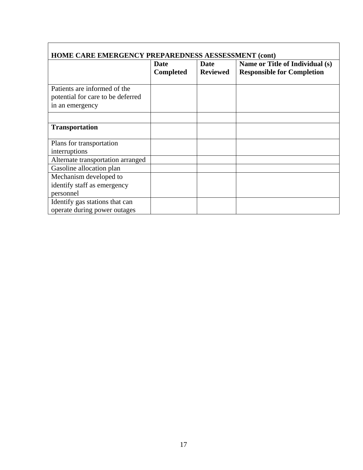| HOME CARE EMERGENCY PREPAREDNESS AESSESSMENT (cont) |                                                        |                 |                                   |  |  |  |
|-----------------------------------------------------|--------------------------------------------------------|-----------------|-----------------------------------|--|--|--|
|                                                     | Name or Title of Individual (s)<br>Date<br><b>Date</b> |                 |                                   |  |  |  |
|                                                     | <b>Completed</b>                                       | <b>Reviewed</b> | <b>Responsible for Completion</b> |  |  |  |
|                                                     |                                                        |                 |                                   |  |  |  |
| Patients are informed of the                        |                                                        |                 |                                   |  |  |  |
| potential for care to be deferred                   |                                                        |                 |                                   |  |  |  |
| in an emergency                                     |                                                        |                 |                                   |  |  |  |
|                                                     |                                                        |                 |                                   |  |  |  |
| <b>Transportation</b>                               |                                                        |                 |                                   |  |  |  |
| Plans for transportation                            |                                                        |                 |                                   |  |  |  |
| interruptions                                       |                                                        |                 |                                   |  |  |  |
| Alternate transportation arranged                   |                                                        |                 |                                   |  |  |  |
| Gasoline allocation plan                            |                                                        |                 |                                   |  |  |  |
| Mechanism developed to                              |                                                        |                 |                                   |  |  |  |
| identify staff as emergency                         |                                                        |                 |                                   |  |  |  |
| personnel                                           |                                                        |                 |                                   |  |  |  |
| Identify gas stations that can                      |                                                        |                 |                                   |  |  |  |
| operate during power outages                        |                                                        |                 |                                   |  |  |  |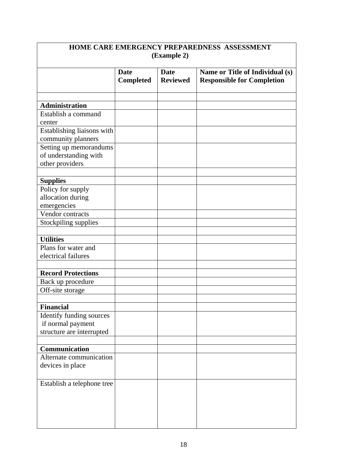| HOME CARE EMERGENCY PREPAREDNESS ASSESSMENT<br>(Example 2)                 |                          |                                |                                                                      |  |  |
|----------------------------------------------------------------------------|--------------------------|--------------------------------|----------------------------------------------------------------------|--|--|
|                                                                            | Date<br><b>Completed</b> | <b>Date</b><br><b>Reviewed</b> | Name or Title of Individual (s)<br><b>Responsible for Completion</b> |  |  |
| <b>Administration</b>                                                      |                          |                                |                                                                      |  |  |
| Establish a command<br>center                                              |                          |                                |                                                                      |  |  |
| Establishing liaisons with<br>community planners                           |                          |                                |                                                                      |  |  |
| Setting up memorandums<br>of understanding with<br>other providers         |                          |                                |                                                                      |  |  |
|                                                                            |                          |                                |                                                                      |  |  |
| <b>Supplies</b><br>Policy for supply<br>allocation during<br>emergencies   |                          |                                |                                                                      |  |  |
| Vendor contracts                                                           |                          |                                |                                                                      |  |  |
| Stockpiling supplies                                                       |                          |                                |                                                                      |  |  |
| <b>Utilities</b>                                                           |                          |                                |                                                                      |  |  |
| Plans for water and<br>electrical failures                                 |                          |                                |                                                                      |  |  |
| <b>Record Protections</b>                                                  |                          |                                |                                                                      |  |  |
| Back up procedure                                                          |                          |                                |                                                                      |  |  |
| Off-site storage                                                           |                          |                                |                                                                      |  |  |
| <b>Financial</b>                                                           |                          |                                |                                                                      |  |  |
| Identify funding sources<br>if normal payment<br>structure are interrupted |                          |                                |                                                                      |  |  |
|                                                                            |                          |                                |                                                                      |  |  |
| Communication                                                              |                          |                                |                                                                      |  |  |
| Alternate communication<br>devices in place                                |                          |                                |                                                                      |  |  |
| Establish a telephone tree                                                 |                          |                                |                                                                      |  |  |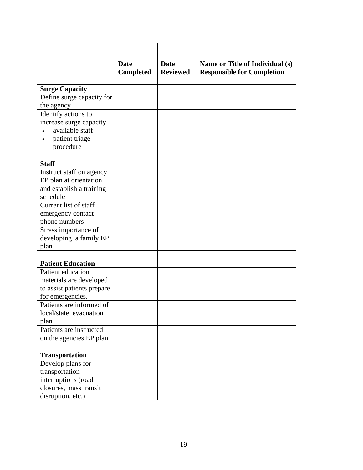|                                       | <b>Date</b><br>Completed | <b>Date</b><br><b>Reviewed</b> | Name or Title of Individual (s)<br><b>Responsible for Completion</b> |
|---------------------------------------|--------------------------|--------------------------------|----------------------------------------------------------------------|
| <b>Surge Capacity</b>                 |                          |                                |                                                                      |
| Define surge capacity for             |                          |                                |                                                                      |
| the agency                            |                          |                                |                                                                      |
| Identify actions to                   |                          |                                |                                                                      |
| increase surge capacity               |                          |                                |                                                                      |
| available staff                       |                          |                                |                                                                      |
| patient triage<br>procedure           |                          |                                |                                                                      |
|                                       |                          |                                |                                                                      |
| <b>Staff</b>                          |                          |                                |                                                                      |
| Instruct staff on agency              |                          |                                |                                                                      |
| EP plan at orientation                |                          |                                |                                                                      |
| and establish a training              |                          |                                |                                                                      |
| schedule                              |                          |                                |                                                                      |
| Current list of staff                 |                          |                                |                                                                      |
| emergency contact                     |                          |                                |                                                                      |
| phone numbers                         |                          |                                |                                                                      |
| Stress importance of                  |                          |                                |                                                                      |
| developing a family EP                |                          |                                |                                                                      |
| plan                                  |                          |                                |                                                                      |
| <b>Patient Education</b>              |                          |                                |                                                                      |
| Patient education                     |                          |                                |                                                                      |
| materials are developed               |                          |                                |                                                                      |
| to assist patients prepare            |                          |                                |                                                                      |
| for emergencies.                      |                          |                                |                                                                      |
| Patients are informed of              |                          |                                |                                                                      |
| local/state evacuation                |                          |                                |                                                                      |
| plan                                  |                          |                                |                                                                      |
| Patients are instructed               |                          |                                |                                                                      |
| on the agencies EP plan               |                          |                                |                                                                      |
|                                       |                          |                                |                                                                      |
| <b>Transportation</b>                 |                          |                                |                                                                      |
| Develop plans for                     |                          |                                |                                                                      |
| transportation<br>interruptions (road |                          |                                |                                                                      |
| closures, mass transit                |                          |                                |                                                                      |
| disruption, etc.)                     |                          |                                |                                                                      |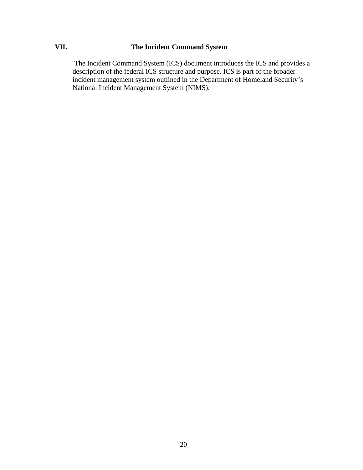### **VII. The Incident Command System**

The Incident Command System (ICS) document introduces the ICS and provides a description of the federal ICS structure and purpose. ICS is part of the broader incident management system outlined in the Department of Homeland Security's National Incident Management System (NIMS).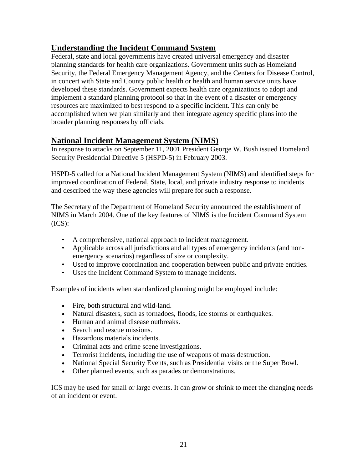## **Understanding the Incident Command System**

Federal, state and local governments have created universal emergency and disaster planning standards for health care organizations. Government units such as Homeland Security, the Federal Emergency Management Agency, and the Centers for Disease Control, in concert with State and County public health or health and human service units have developed these standards. Government expects health care organizations to adopt and implement a standard planning protocol so that in the event of a disaster or emergency resources are maximized to best respond to a specific incident. This can only be accomplished when we plan similarly and then integrate agency specific plans into the broader planning responses by officials.

### **National Incident Management System (NIMS)**

In response to attacks on September 11, 2001 President George W. Bush issued Homeland Security Presidential Directive 5 (HSPD-5) in February 2003.

HSPD-5 called for a National Incident Management System (NIMS) and identified steps for improved coordination of Federal, State, local, and private industry response to incidents and described the way these agencies will prepare for such a response.

The Secretary of the Department of Homeland Security announced the establishment of NIMS in March 2004. One of the key features of NIMS is the Incident Command System  $(ICS):$ 

- A comprehensive, national approach to incident management.
- Applicable across all jurisdictions and all types of emergency incidents (and nonemergency scenarios) regardless of size or complexity.
- Used to improve coordination and cooperation between public and private entities.
- Uses the Incident Command System to manage incidents.

Examples of incidents when standardized planning might be employed include:

- Fire, both structural and wild-land.
- Natural disasters, such as tornadoes, floods, ice storms or earthquakes.
- Human and animal disease outbreaks.
- Search and rescue missions.
- Hazardous materials incidents.
- Criminal acts and crime scene investigations.
- Terrorist incidents, including the use of weapons of mass destruction.
- National Special Security Events, such as Presidential visits or the Super Bowl.
- Other planned events, such as parades or demonstrations.

ICS may be used for small or large events. It can grow or shrink to meet the changing needs of an incident or event.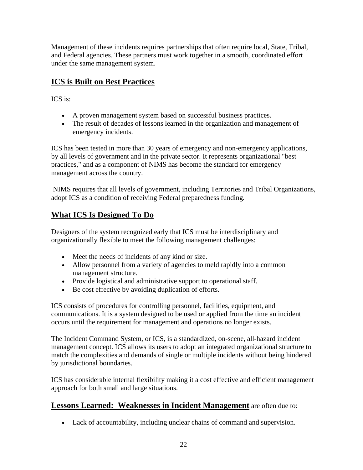Management of these incidents requires partnerships that often require local, State, Tribal, and Federal agencies. These partners must work together in a smooth, coordinated effort under the same management system.

## **ICS is Built on Best Practices**

ICS is:

- A proven management system based on successful business practices.
- The result of decades of lessons learned in the organization and management of emergency incidents.

ICS has been tested in more than 30 years of emergency and non-emergency applications, by all levels of government and in the private sector. It represents organizational "best practices," and as a component of NIMS has become the standard for emergency management across the country.

 NIMS requires that all levels of government, including Territories and Tribal Organizations, adopt ICS as a condition of receiving Federal preparedness funding*.* 

## **What ICS Is Designed To Do**

Designers of the system recognized early that ICS must be interdisciplinary and organizationally flexible to meet the following management challenges:

- Meet the needs of incidents of any kind or size.
- Allow personnel from a variety of agencies to meld rapidly into a common management structure.
- Provide logistical and administrative support to operational staff.
- Be cost effective by avoiding duplication of efforts.

ICS consists of procedures for controlling personnel, facilities, equipment, and communications. It is a system designed to be used or applied from the time an incident occurs until the requirement for management and operations no longer exists.

The Incident Command System, or ICS, is a standardized, on-scene, all-hazard incident management concept. ICS allows its users to adopt an integrated organizational structure to match the complexities and demands of single or multiple incidents without being hindered by jurisdictional boundaries.

ICS has considerable internal flexibility making it a cost effective and efficient management approach for both small and large situations.

### **Lessons Learned: Weaknesses in Incident Management** are often due to:

Lack of accountability, including unclear chains of command and supervision.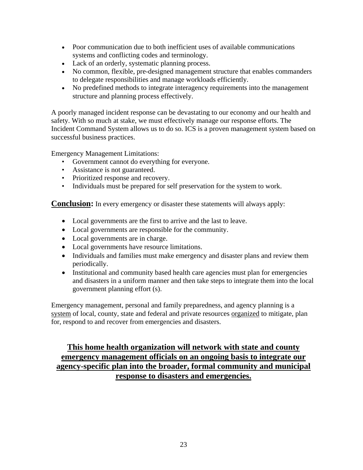- Poor communication due to both inefficient uses of available communications systems and conflicting codes and terminology.
- Lack of an orderly, systematic planning process.
- No common, flexible, pre-designed management structure that enables commanders to delegate responsibilities and manage workloads efficiently.
- No predefined methods to integrate interagency requirements into the management structure and planning process effectively.

A poorly managed incident response can be devastating to our economy and our health and safety. With so much at stake, we must effectively manage our response efforts. The Incident Command System allows us to do so. ICS is a proven management system based on successful business practices.

Emergency Management Limitations:

- Government cannot do everything for everyone.
- Assistance is not guaranteed.
- Prioritized response and recovery.
- Individuals must be prepared for self preservation for the system to work.

**Conclusion:** In every emergency or disaster these statements will always apply:

- Local governments are the first to arrive and the last to leave.
- Local governments are responsible for the community.
- Local governments are in charge.
- Local governments have resource limitations.
- Individuals and families must make emergency and disaster plans and review them periodically.
- Institutional and community based health care agencies must plan for emergencies and disasters in a uniform manner and then take steps to integrate them into the local government planning effort (s).

Emergency management, personal and family preparedness, and agency planning is a system of local, county, state and federal and private resources organized to mitigate, plan for, respond to and recover from emergencies and disasters.

## **This home health organization will network with state and county emergency management officials on an ongoing basis to integrate our agency-specific plan into the broader, formal community and municipal response to disasters and emergencies.**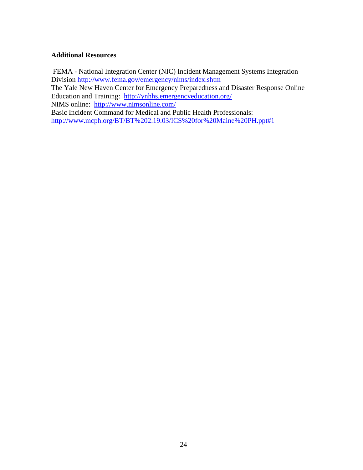#### **Additional Resources**

 FEMA - National Integration Center (NIC) Incident Management Systems Integration Division http://www.fema.gov/emergency/nims/index.shtm The Yale New Haven Center for Emergency Preparedness and Disaster Response Online

Education and Training: http://ynhhs.emergencyeducation.org/ NIMS online: http://www.nimsonline.com/

Basic Incident Command for Medical and Public Health Professionals: http://www.mcph.org/BT/BT%202.19.03/ICS%20for%20Maine%20PH.ppt#1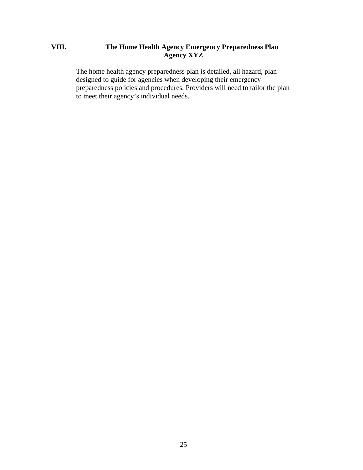#### **VIII. The Home Health Agency Emergency Preparedness Plan Agency XYZ**

The home health agency preparedness plan is detailed, all hazard, plan designed to guide for agencies when developing their emergency preparedness policies and procedures. Providers will need to tailor the plan to meet their agency's individual needs.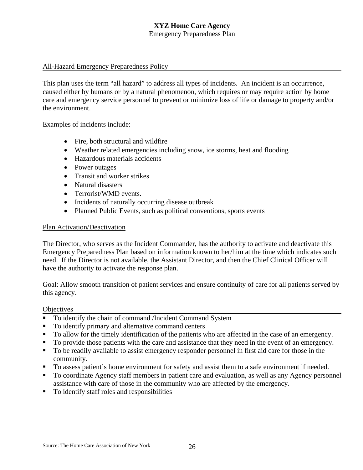## **XYZ Home Care Agency**

#### Emergency Preparedness Plan

#### All-Hazard Emergency Preparedness Policy

This plan uses the term "all hazard" to address all types of incidents. An incident is an occurrence, caused either by humans or by a natural phenomenon, which requires or may require action by home care and emergency service personnel to prevent or minimize loss of life or damage to property and/or the environment.

Examples of incidents include:

- Fire, both structural and wildfire
- Weather related emergencies including snow, ice storms, heat and flooding
- Hazardous materials accidents
- Power outages
- Transit and worker strikes
- Natural disasters
- Terrorist/WMD events.
- Incidents of naturally occurring disease outbreak
- Planned Public Events, such as political conventions, sports events

#### Plan Activation/Deactivation

The Director, who serves as the Incident Commander, has the authority to activate and deactivate this Emergency Preparedness Plan based on information known to her/him at the time which indicates such need. If the Director is not available, the Assistant Director, and then the Chief Clinical Officer will have the authority to activate the response plan.

Goal: Allow smooth transition of patient services and ensure continuity of care for all patients served by this agency.

#### **Objectives**

- To identify the chain of command /Incident Command System
- To identify primary and alternative command centers
- To allow for the timely identification of the patients who are affected in the case of an emergency.
- To provide those patients with the care and assistance that they need in the event of an emergency.
- To be readily available to assist emergency responder personnel in first aid care for those in the community.
- To assess patient's home environment for safety and assist them to a safe environment if needed.
- To coordinate Agency staff members in patient care and evaluation, as well as any Agency personnel assistance with care of those in the community who are affected by the emergency.
- To identify staff roles and responsibilities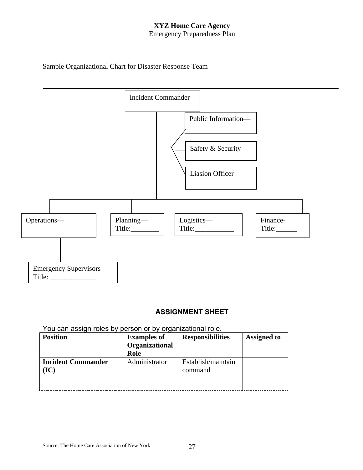## **XYZ Home Care Agency**

Emergency Preparedness Plan

#### Sample Organizational Chart for Disaster Response Team



### **ASSIGNMENT SHEET**

You can assign roles by person or by organizational role.

| <b>Position</b>           | <b>Examples of</b> | <b>Responsibilities</b> | <b>Assigned to</b> |
|---------------------------|--------------------|-------------------------|--------------------|
|                           | Organizational     |                         |                    |
|                           | Role               |                         |                    |
| <b>Incident Commander</b> | Administrator      | Establish/maintain      |                    |
| (IC)                      |                    | command                 |                    |
|                           |                    |                         |                    |
|                           |                    |                         |                    |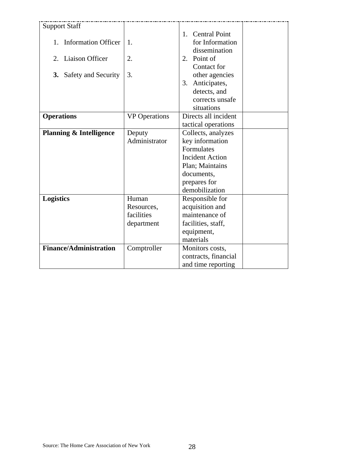| <b>Support Staff</b>                         |                      |                                 |  |
|----------------------------------------------|----------------------|---------------------------------|--|
|                                              |                      | <b>Central Point</b><br>$1_{-}$ |  |
| <b>Information Officer</b><br>1 <sub>1</sub> | 1.                   | for Information                 |  |
|                                              |                      | dissemination                   |  |
| Liaison Officer<br>2.                        | 2.                   | Point of<br>2.                  |  |
|                                              |                      |                                 |  |
|                                              |                      | Contact for                     |  |
| 3. Safety and Security                       | 3.                   | other agencies                  |  |
|                                              |                      | Anticipates,<br>3.              |  |
|                                              |                      | detects, and                    |  |
|                                              |                      | corrects unsafe                 |  |
|                                              |                      | situations                      |  |
| <b>Operations</b>                            | <b>VP</b> Operations | Directs all incident            |  |
|                                              |                      | tactical operations             |  |
| <b>Planning &amp; Intelligence</b>           | Deputy               | Collects, analyzes              |  |
|                                              | Administrator        | key information                 |  |
|                                              |                      | Formulates                      |  |
|                                              |                      | <b>Incident Action</b>          |  |
|                                              |                      | Plan; Maintains                 |  |
|                                              |                      | documents,                      |  |
|                                              |                      | prepares for                    |  |
|                                              |                      | demobilization                  |  |
| <b>Logistics</b>                             | Human                | Responsible for                 |  |
|                                              | Resources,           | acquisition and                 |  |
|                                              | facilities           | maintenance of                  |  |
|                                              | department           | facilities, staff,              |  |
|                                              |                      | equipment,                      |  |
|                                              |                      | materials                       |  |
| <b>Finance/Administration</b>                | Comptroller          | Monitors costs,                 |  |
|                                              |                      | contracts, financial            |  |
|                                              |                      | and time reporting              |  |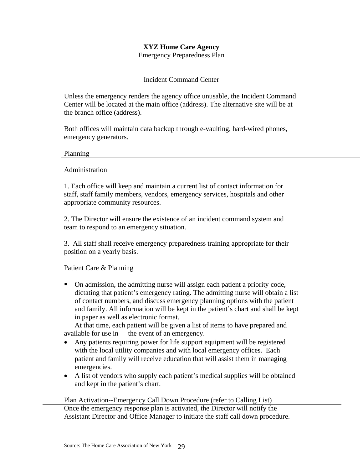#### Incident Command Center

Unless the emergency renders the agency office unusable, the Incident Command Center will be located at the main office (address). The alternative site will be at the branch office (address).

Both offices will maintain data backup through e-vaulting, hard-wired phones, emergency generators.

#### Planning

#### Administration

1. Each office will keep and maintain a current list of contact information for staff, staff family members, vendors, emergency services, hospitals and other appropriate community resources.

2. The Director will ensure the existence of an incident command system and team to respond to an emergency situation.

3. All staff shall receive emergency preparedness training appropriate for their position on a yearly basis.

#### Patient Care & Planning

• On admission, the admitting nurse will assign each patient a priority code, dictating that patient's emergency rating. The admitting nurse will obtain a list of contact numbers, and discuss emergency planning options with the patient and family. All information will be kept in the patient's chart and shall be kept in paper as well as electronic format.

 At that time, each patient will be given a list of items to have prepared and available for use in the event of an emergency.

- Any patients requiring power for life support equipment will be registered with the local utility companies and with local emergency offices. Each patient and family will receive education that will assist them in managing emergencies.
- A list of vendors who supply each patient's medical supplies will be obtained and kept in the patient's chart.

#### Plan Activation--Emergency Call Down Procedure (refer to Calling List)

Once the emergency response plan is activated, the Director will notify the Assistant Director and Office Manager to initiate the staff call down procedure.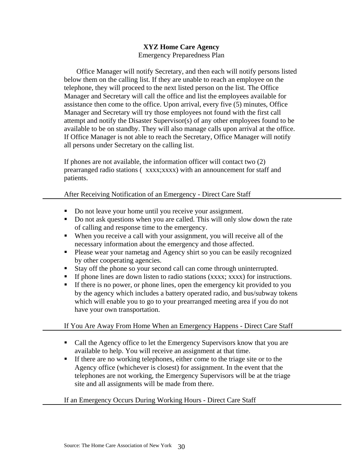Office Manager will notify Secretary, and then each will notify persons listed below them on the calling list. If they are unable to reach an employee on the telephone, they will proceed to the next listed person on the list. The Office Manager and Secretary will call the office and list the employees available for assistance then come to the office. Upon arrival, every five (5) minutes, Office Manager and Secretary will try those employees not found with the first call attempt and notify the Disaster Supervisor(s) of any other employees found to be available to be on standby. They will also manage calls upon arrival at the office. If Office Manager is not able to reach the Secretary, Office Manager will notify all persons under Secretary on the calling list.

If phones are not available, the information officer will contact two (2) prearranged radio stations ( xxxx;xxxx) with an announcement for staff and patients.

#### After Receiving Notification of an Emergency - Direct Care Staff

- Do not leave your home until you receive your assignment.
- Do not ask questions when you are called. This will only slow down the rate of calling and response time to the emergency.
- When you receive a call with your assignment, you will receive all of the necessary information about the emergency and those affected.
- **Please wear your nametag and Agency shirt so you can be easily recognized** by other cooperating agencies.
- Stay off the phone so your second call can come through uninterrupted.
- If phone lines are down listen to radio stations (xxxx; xxxx) for instructions.
- If there is no power, or phone lines, open the emergency kit provided to you by the agency which includes a battery operated radio, and bus/subway tokens which will enable you to go to your prearranged meeting area if you do not have your own transportation.

#### If You Are Away From Home When an Emergency Happens - Direct Care Staff

- Call the Agency office to let the Emergency Supervisors know that you are available to help. You will receive an assignment at that time.
- If there are no working telephones, either come to the triage site or to the Agency office (whichever is closest) for assignment. In the event that the telephones are not working, the Emergency Supervisors will be at the triage site and all assignments will be made from there.

#### If an Emergency Occurs During Working Hours - Direct Care Staff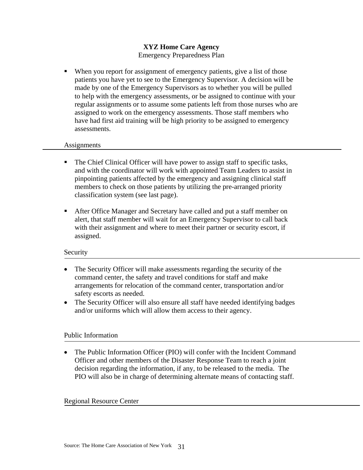When you report for assignment of emergency patients, give a list of those patients you have yet to see to the Emergency Supervisor. A decision will be made by one of the Emergency Supervisors as to whether you will be pulled to help with the emergency assessments, or be assigned to continue with your regular assignments or to assume some patients left from those nurses who are assigned to work on the emergency assessments. Those staff members who have had first aid training will be high priority to be assigned to emergency assessments.

#### **Assignments**

- The Chief Clinical Officer will have power to assign staff to specific tasks, and with the coordinator will work with appointed Team Leaders to assist in pinpointing patients affected by the emergency and assigning clinical staff members to check on those patients by utilizing the pre-arranged priority classification system (see last page).
- After Office Manager and Secretary have called and put a staff member on alert, that staff member will wait for an Emergency Supervisor to call back with their assignment and where to meet their partner or security escort, if assigned.

#### Security

- The Security Officer will make assessments regarding the security of the command center, the safety and travel conditions for staff and make arrangements for relocation of the command center, transportation and/or safety escorts as needed.
- The Security Officer will also ensure all staff have needed identifying badges and/or uniforms which will allow them access to their agency.

#### Public Information

• The Public Information Officer (PIO) will confer with the Incident Command Officer and other members of the Disaster Response Team to reach a joint decision regarding the information, if any, to be released to the media. The PIO will also be in charge of determining alternate means of contacting staff.

#### Regional Resource Center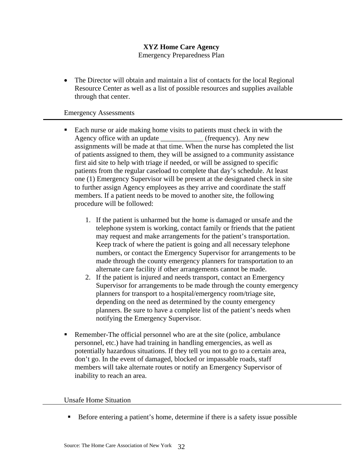# **XYZ Home Care Agency**

Emergency Preparedness Plan

 The Director will obtain and maintain a list of contacts for the local Regional Resource Center as well as a list of possible resources and supplies available through that center.

#### Emergency Assessments

- Each nurse or aide making home visits to patients must check in with the Agency office with an update \_\_\_\_\_\_\_\_\_\_\_\_\_\_ (frequency). Any new assignments will be made at that time. When the nurse has completed the list of patients assigned to them, they will be assigned to a community assistance first aid site to help with triage if needed, or will be assigned to specific patients from the regular caseload to complete that day's schedule. At least one (1) Emergency Supervisor will be present at the designated check in site to further assign Agency employees as they arrive and coordinate the staff members. If a patient needs to be moved to another site, the following procedure will be followed:
	- 1. If the patient is unharmed but the home is damaged or unsafe and the telephone system is working, contact family or friends that the patient may request and make arrangements for the patient's transportation. Keep track of where the patient is going and all necessary telephone numbers, or contact the Emergency Supervisor for arrangements to be made through the county emergency planners for transportation to an alternate care facility if other arrangements cannot be made.
	- 2. If the patient is injured and needs transport, contact an Emergency Supervisor for arrangements to be made through the county emergency planners for transport to a hospital/emergency room/triage site, depending on the need as determined by the county emergency planners. Be sure to have a complete list of the patient's needs when notifying the Emergency Supervisor.
- Remember-The official personnel who are at the site (police, ambulance personnel, etc.) have had training in handling emergencies, as well as potentially hazardous situations. If they tell you not to go to a certain area, don't go. In the event of damaged, blocked or impassable roads, staff members will take alternate routes or notify an Emergency Supervisor of inability to reach an area.

#### Unsafe Home Situation

Before entering a patient's home, determine if there is a safety issue possible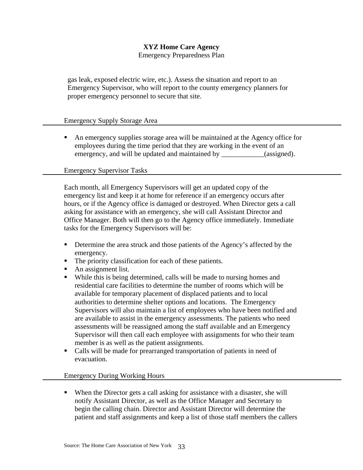## **XYZ Home Care Agency**

Emergency Preparedness Plan

gas leak, exposed electric wire, etc.). Assess the situation and report to an Emergency Supervisor, who will report to the county emergency planners for proper emergency personnel to secure that site.

#### Emergency Supply Storage Area

 An emergency supplies storage area will be maintained at the Agency office for employees during the time period that they are working in the event of an emergency, and will be updated and maintained by \_\_\_\_\_\_\_\_\_\_(assigned).

#### Emergency Supervisor Tasks

Each month, all Emergency Supervisors will get an updated copy of the emergency list and keep it at home for reference if an emergency occurs after hours, or if the Agency office is damaged or destroyed. When Director gets a call asking for assistance with an emergency, she will call Assistant Director and Office Manager. Both will then go to the Agency office immediately. Immediate tasks for the Emergency Supervisors will be:

- Determine the area struck and those patients of the Agency's affected by the emergency.
- The priority classification for each of these patients.
- An assignment list.
- While this is being determined, calls will be made to nursing homes and residential care facilities to determine the number of rooms which will be available for temporary placement of displaced patients and to local authorities to determine shelter options and locations. The Emergency Supervisors will also maintain a list of employees who have been notified and are available to assist in the emergency assessments. The patients who need assessments will be reassigned among the staff available and an Emergency Supervisor will then call each employee with assignments for who their team member is as well as the patient assignments.
- Calls will be made for prearranged transportation of patients in need of evacuation.

#### Emergency During Working Hours

 When the Director gets a call asking for assistance with a disaster, she will notify Assistant Director, as well as the Office Manager and Secretary to begin the calling chain. Director and Assistant Director will determine the patient and staff assignments and keep a list of those staff members the callers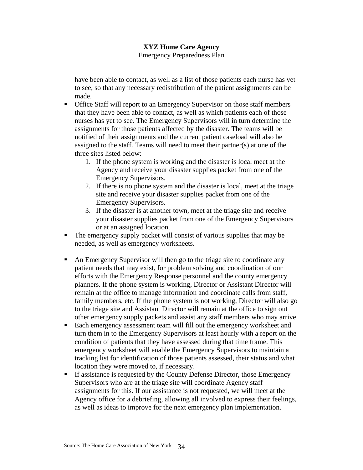have been able to contact, as well as a list of those patients each nurse has yet to see, so that any necessary redistribution of the patient assignments can be made.

- Office Staff will report to an Emergency Supervisor on those staff members that they have been able to contact, as well as which patients each of those nurses has yet to see. The Emergency Supervisors will in turn determine the assignments for those patients affected by the disaster. The teams will be notified of their assignments and the current patient caseload will also be assigned to the staff. Teams will need to meet their partner(s) at one of the three sites listed below:
	- 1. If the phone system is working and the disaster is local meet at the Agency and receive your disaster supplies packet from one of the Emergency Supervisors.
	- 2. If there is no phone system and the disaster is local, meet at the triage site and receive your disaster supplies packet from one of the Emergency Supervisors.
	- 3. If the disaster is at another town, meet at the triage site and receive your disaster supplies packet from one of the Emergency Supervisors or at an assigned location.
- The emergency supply packet will consist of various supplies that may be needed, as well as emergency worksheets.
- An Emergency Supervisor will then go to the triage site to coordinate any patient needs that may exist, for problem solving and coordination of our efforts with the Emergency Response personnel and the county emergency planners. If the phone system is working, Director or Assistant Director will remain at the office to manage information and coordinate calls from staff, family members, etc. If the phone system is not working, Director will also go to the triage site and Assistant Director will remain at the office to sign out other emergency supply packets and assist any staff members who may arrive.
- Each emergency assessment team will fill out the emergency worksheet and turn them in to the Emergency Supervisors at least hourly with a report on the condition of patients that they have assessed during that time frame. This emergency worksheet will enable the Emergency Supervisors to maintain a tracking list for identification of those patients assessed, their status and what location they were moved to, if necessary.
- If assistance is requested by the County Defense Director, those Emergency Supervisors who are at the triage site will coordinate Agency staff assignments for this. If our assistance is not requested, we will meet at the Agency office for a debriefing, allowing all involved to express their feelings, as well as ideas to improve for the next emergency plan implementation.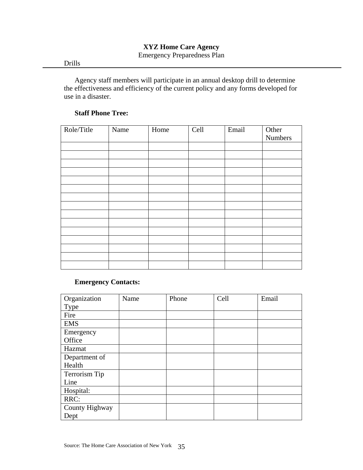## **XYZ Home Care Agency**  Emergency Preparedness Plan

#### Drills

Agency staff members will participate in an annual desktop drill to determine the effectiveness and efficiency of the current policy and any forms developed for use in a disaster.

## **Staff Phone Tree:**

| Role/Title | Name | Home | Cell | Email | Other<br><b>Numbers</b> |
|------------|------|------|------|-------|-------------------------|
|            |      |      |      |       |                         |
|            |      |      |      |       |                         |
|            |      |      |      |       |                         |
|            |      |      |      |       |                         |
|            |      |      |      |       |                         |
|            |      |      |      |       |                         |
|            |      |      |      |       |                         |
|            |      |      |      |       |                         |
|            |      |      |      |       |                         |
|            |      |      |      |       |                         |
|            |      |      |      |       |                         |
|            |      |      |      |       |                         |
|            |      |      |      |       |                         |
|            |      |      |      |       |                         |
|            |      |      |      |       |                         |

# **Emergency Contacts:**

| Organization   | Name | Phone | Cell | Email |
|----------------|------|-------|------|-------|
| Type           |      |       |      |       |
| Fire           |      |       |      |       |
| <b>EMS</b>     |      |       |      |       |
| Emergency      |      |       |      |       |
| Office         |      |       |      |       |
| Hazmat         |      |       |      |       |
| Department of  |      |       |      |       |
| Health         |      |       |      |       |
| Terrorism Tip  |      |       |      |       |
| Line           |      |       |      |       |
| Hospital:      |      |       |      |       |
| RRC:           |      |       |      |       |
| County Highway |      |       |      |       |
| Dept           |      |       |      |       |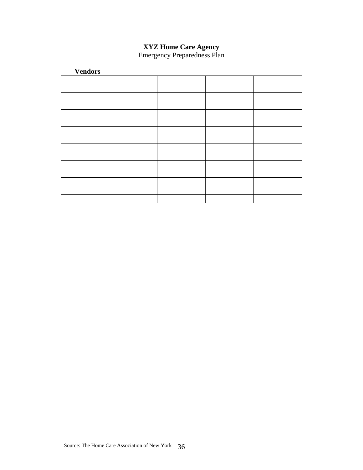## **XYZ Home Care Agency**  Emergency Preparedness Plan

| <b>Vendors</b> |  |  |
|----------------|--|--|
|                |  |  |
|                |  |  |
|                |  |  |
|                |  |  |
|                |  |  |
|                |  |  |
|                |  |  |
|                |  |  |
|                |  |  |
|                |  |  |
|                |  |  |
|                |  |  |
|                |  |  |
|                |  |  |
|                |  |  |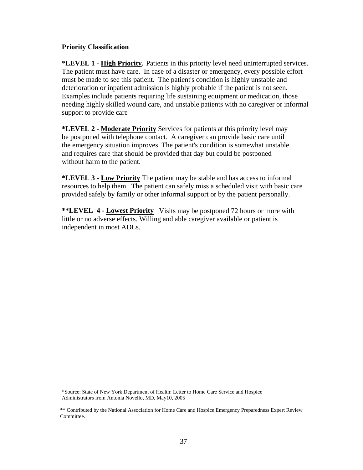### **Priority Classification**

 \***LEVEL 1 - High Priority.** Patients in this priority level need uninterrupted services. The patient must have care. In case of a disaster or emergency, every possible effort must be made to see this patient. The patient's condition is highly unstable and deterioration or inpatient admission is highly probable if the patient is not seen. Examples include patients requiring life sustaining equipment or medication, those needing highly skilled wound care, and unstable patients with no caregiver or informal support to provide care

**\*LEVEL 2 - Moderate Priority** Services for patients at this priority level may be postponed with telephone contact. A caregiver can provide basic care until the emergency situation improves. The patient's condition is somewhat unstable and requires care that should be provided that day but could be postponed without harm to the patient.

**\*LEVEL 3 - Low Priority** The patient may be stable and has access to informal resources to help them. The patient can safely miss a scheduled visit with basic care provided safely by family or other informal support or by the patient personally.

**\*\*LEVEL 4 - Lowest Priority** Visits may be postponed 72 hours or more with little or no adverse effects. Willing and able caregiver available or patient is independent in most ADLs.

\*Source: State of New York Department of Health: Letter to Home Care Service and Hospice Administrators from Antonia Novello, MD, May10, 2005

\*\* Contributed by the National Association for Home Care and Hospice Emergency Preparedness Expert Review Committee.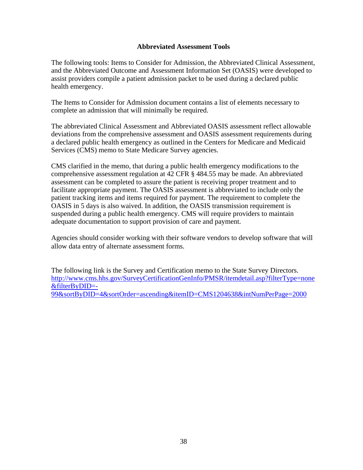## **Abbreviated Assessment Tools**

The following tools: Items to Consider for Admission, the Abbreviated Clinical Assessment, and the Abbreviated Outcome and Assessment Information Set (OASIS) were developed to assist providers compile a patient admission packet to be used during a declared public health emergency.

The Items to Consider for Admission document contains a list of elements necessary to complete an admission that will minimally be required.

The abbreviated Clinical Assessment and Abbreviated OASIS assessment reflect allowable deviations from the comprehensive assessment and OASIS assessment requirements during a declared public health emergency as outlined in the Centers for Medicare and Medicaid Services (CMS) memo to State Medicare Survey agencies.

CMS clarified in the memo, that during a public health emergency modifications to the comprehensive assessment regulation at 42 CFR § 484.55 may be made. An abbreviated assessment can be completed to assure the patient is receiving proper treatment and to facilitate appropriate payment. The OASIS assessment is abbreviated to include only the patient tracking items and items required for payment. The requirement to complete the OASIS in 5 days is also waived. In addition, the OASIS transmission requirement is suspended during a public health emergency. CMS will require providers to maintain adequate documentation to support provision of care and payment.

Agencies should consider working with their software vendors to develop software that will allow data entry of alternate assessment forms.

The following link is the Survey and Certification memo to the State Survey Directors. http://www.cms.hhs.gov/SurveyCertificationGenInfo/PMSR/itemdetail.asp?filterType=none &filterByDID=- 99&sortByDID=4&sortOrder=ascending&itemID=CMS1204638&intNumPerPage=2000

38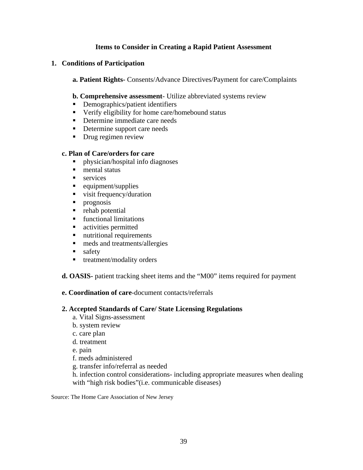## **Items to Consider in Creating a Rapid Patient Assessment**

## **1. Conditions of Participation**

#### **a. Patient Rights-** Consents/Advance Directives/Payment for care/Complaints

#### **b. Comprehensive assessment**- Utilize abbreviated systems review

- **•** Demographics/patient identifiers
- Verify eligibility for home care/homebound status
- Determine immediate care needs
- Determine support care needs
- Drug regimen review

## **c. Plan of Care/orders for care**

- physician/hospital info diagnoses
- **nd** mental status
- $\blacksquare$  services
- $\blacksquare$  equipment/supplies
- visit frequency/duration
- **prognosis**
- **rehab potential**
- **functional limitations**
- **activities permitted**
- nutritional requirements
- meds and treatments/allergies
- safety
- **the treatment/modality orders**
- **d. OASIS-** patient tracking sheet items and the "M00" items required for payment
- **e. Coordination of care**-document contacts/referrals

#### **2. Accepted Standards of Care/ State Licensing Regulations**

- a. Vital Signs-assessment
- b. system review
- c. care plan
- d. treatment
- e. pain
- f. meds administered
- g. transfer info/referral as needed

 h. infection control considerations- including appropriate measures when dealing with "high risk bodies"(i.e. communicable diseases)

Source: The Home Care Association of New Jersey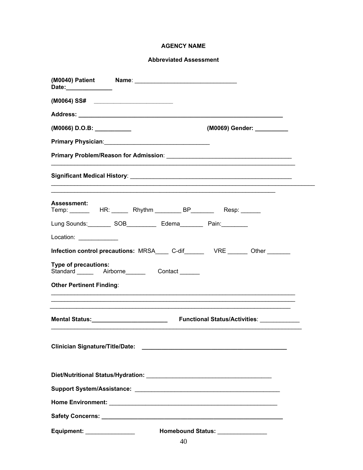#### **AGENCY NAME**

#### **Abbreviated Assessment**

| Date:_______________                    |                                                                          |                                                                              |
|-----------------------------------------|--------------------------------------------------------------------------|------------------------------------------------------------------------------|
|                                         |                                                                          |                                                                              |
|                                         |                                                                          |                                                                              |
| (M0066) D.O.B: ____________             |                                                                          | (M0069) Gender: __________                                                   |
|                                         |                                                                          |                                                                              |
|                                         |                                                                          |                                                                              |
|                                         |                                                                          |                                                                              |
| <b>Assessment:</b>                      | Temp: _______ HR: _______Rhythm __________BP_________ Resp: _______      |                                                                              |
|                                         | Lung Sounds: __________ SOB_____________ Edema__________ Pain:__________ |                                                                              |
| Location: __________                    |                                                                          |                                                                              |
|                                         |                                                                          | Infection control precautions: MRSA____ C-dif_______ VRE ______ Other ______ |
| Type of precautions:                    | Standard _________ Airborne___________ Contact _______                   |                                                                              |
| <b>Other Pertinent Finding:</b>         |                                                                          |                                                                              |
|                                         |                                                                          |                                                                              |
| Mental Status:_________________________ |                                                                          | Functional Status/Activities: ____________                                   |
| <b>Clinician Signature/Title/Date:</b>  |                                                                          |                                                                              |
|                                         |                                                                          |                                                                              |
|                                         |                                                                          |                                                                              |
|                                         |                                                                          |                                                                              |
|                                         |                                                                          |                                                                              |
| Equipment: ________________             |                                                                          | Homebound Status: ________________                                           |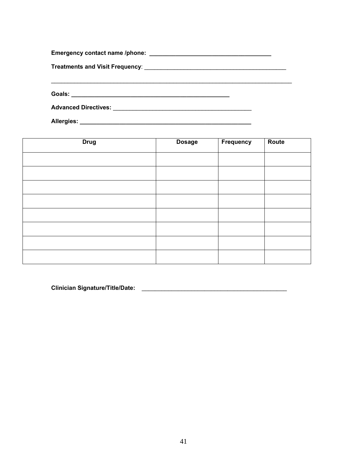| <b>Drug</b> | <b>Dosage</b> | Frequency | Route |
|-------------|---------------|-----------|-------|
|             |               |           |       |
|             |               |           |       |
|             |               |           |       |
|             |               |           |       |
|             |               |           |       |
|             |               |           |       |
|             |               |           |       |
|             |               |           |       |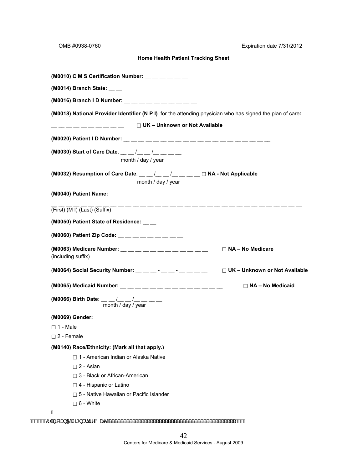OMB #0938-0760 Expiration date 7/31/2012

**Home Health Patient Tracking Sheet** 

| (M0010) C M S Certification Number: _ _ _ _ _ _ _                                                                 |                         |
|-------------------------------------------------------------------------------------------------------------------|-------------------------|
| (M0014) Branch State:                                                                                             |                         |
| (M0016) Branch I D Number: __ _ _ _ _ _ _ _ _ _ _                                                                 |                         |
| (M0018) National Provider Identifier (N P I) for the attending physician who has signed the plan of care:         |                         |
| $\Box$ UK - Unknown or Not Available                                                                              |                         |
|                                                                                                                   |                         |
| (M0030) Start of Care Date: __ _/__ _/__ __ /__ __<br>month / day / year                                          |                         |
| (M0032) Resumption of Care Date: $\underline{\qquad \qquad }$ / _ _ / _ _ _ _ _ _ NA - Not Applicable             |                         |
| month / day / year                                                                                                |                         |
| (M0040) Patient Name:                                                                                             |                         |
| (First) (M I) (Last) (Suffix)                                                                                     |                         |
| (M0050) Patient State of Residence: __ _                                                                          |                         |
| (M0060) Patient Zip Code: _ _ _ _ _ _ _ _ _ _                                                                     |                         |
| (M0063) Medicare Number: _ _ _ _ _ _ _ _ _ _ _ _ _<br>(including suffix)                                          | $\Box$ NA – No Medicare |
| (M0064) Social Security Number: __ __ __ - __ _ _ _ __ __ __ _ _ UK - Unknown or Not Available                    |                         |
| (M0065) Medicaid Number: _ _ _ _ _ _ _ _ _ _ _ _ _ _ _                                                            | □ NA - No Medicaid      |
| (M0066) Birth Date: $\underbrace{\qquad \qquad }_{\text{month } \wedge \text{ day } \wedge \text{ year }} \cdots$ |                         |
| (M0069) Gender:                                                                                                   |                         |
| $\Box$ 1 - Male                                                                                                   |                         |
| $\square$ 2 - Female                                                                                              |                         |
| (M0140) Race/Ethnicity: (Mark all that apply.)                                                                    |                         |
| □ 1 - American Indian or Alaska Native                                                                            |                         |
| $\Box$ 2 - Asian                                                                                                  |                         |
| □ 3 - Black or African-American                                                                                   |                         |
| $\Box$ 4 - Hispanic or Latino                                                                                     |                         |
| $\Box$ 5 - Native Hawaiian or Pacific Islander                                                                    |                         |
| $\Box$ 6 - White                                                                                                  |                         |
| Á                                                                                                                 |                         |

Centers for Medicare & Medicaid Services - August 2009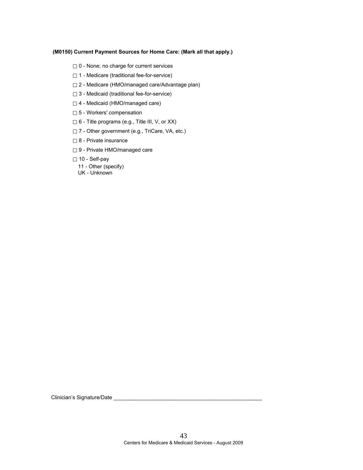#### **(M0150) Current Payment Sources for Home Care: (Mark all that apply.)**

- □ 0 None; no charge for current services
- □ 1 Medicare (traditional fee-for-service)
- □ 2 Medicare (HMO/managed care/Advantage plan)
- □ 3 Medicaid (traditional fee-for-service)
- $\Box$  4 Medicaid (HMO/managed care)
- □ 5 Workers' compensation
- $\Box$  6 Title programs (e.g., Title III, V, or XX)
- □ 7 Other government (e.g., TriCare, VA, etc.)
- □ 8 Private insurance
- □ 9 Private HMO/managed care
- ⃞ 10 Self-pay
	- 11 Other (specify) UK - Unknown

Clinician's Signature/Date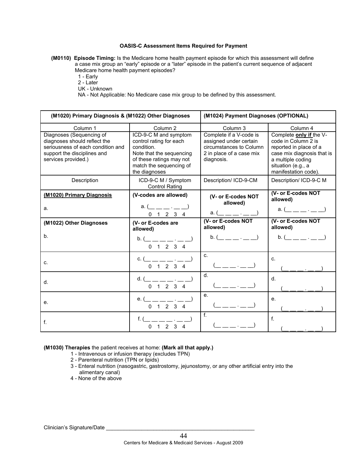#### **OASIS-C Assessment Items Required for Payment**

- **(M0110) Episode Timing:** Is the Medicare home health payment episode for which this assessment will define a case mix group an "early" episode or a "later" episode in the patient's current sequence of adjacent Medicare home health payment episodes?
	- 1 Early
	- 2 Later
	- UK Unknown

NA - Not Applicable: No Medicare case mix group to be defined by this assessment.

| (M1020) Primary Diagnosis & (M1022) Other Diagnoses                                                                                                 |                                                                                                                                                                    | (M1024) Payment Diagnoses (OPTIONAL)                                                                                   |                                                                                                                                                                           |  |
|-----------------------------------------------------------------------------------------------------------------------------------------------------|--------------------------------------------------------------------------------------------------------------------------------------------------------------------|------------------------------------------------------------------------------------------------------------------------|---------------------------------------------------------------------------------------------------------------------------------------------------------------------------|--|
| Column 1                                                                                                                                            | Column <sub>2</sub>                                                                                                                                                | Column 3                                                                                                               | Column 4                                                                                                                                                                  |  |
| Diagnoses (Sequencing of<br>diagnoses should reflect the<br>seriousness of each condition and<br>support the disciplines and<br>services provided.) | ICD-9-C M and symptom<br>control rating for each<br>condition.<br>Note that the sequencing<br>of these ratings may not<br>match the sequencing of<br>the diagnoses | Complete if a V-code is<br>assigned under certain<br>circumstances to Column<br>2 in place of a case mix<br>diagnosis. | Complete only if the V-<br>code in Column 2 is<br>reported in place of a<br>case mix diagnosis that is<br>a multiple coding<br>situation (e.g., a<br>manifestation code). |  |
| Description                                                                                                                                         | ICD-9-C M / Symptom<br><b>Control Rating</b>                                                                                                                       | Description/ ICD-9-CM                                                                                                  | Description/ ICD-9-C M                                                                                                                                                    |  |
| (M1020) Primary Diagnosis<br>a.                                                                                                                     | (V-codes are allowed)<br>0 1 2 3 4                                                                                                                                 | (V- or E-codes NOT<br>allowed)<br>a. $($ <sub>__</sub> __ . __ __ )                                                    | (V- or E-codes NOT<br>allowed)<br>$a. ($ $-- -- )$                                                                                                                        |  |
| (M1022) Other Diagnoses                                                                                                                             | (V- or E-codes are<br>allowed)                                                                                                                                     | (V- or E-codes NOT<br>allowed)                                                                                         | (V- or E-codes NOT<br>allowed)                                                                                                                                            |  |
| b.                                                                                                                                                  | $b. ($ $\_\_$ $\_\_$ $\_$<br>$0 \t1 \t2 \t3 \t4$                                                                                                                   | $b.$ ( $\qquad \qquad$                                                                                                 | $b.$ ( $\qquad \qquad$                                                                                                                                                    |  |
| C.                                                                                                                                                  | c. (<br>0 1 2 3 4                                                                                                                                                  | C <sub>1</sub>                                                                                                         | C <sub>1</sub>                                                                                                                                                            |  |
| d.                                                                                                                                                  | $d.$ ( $\qquad \qquad$<br>$0$ 1 2 3 4                                                                                                                              | $d_{\perp}$                                                                                                            | $d_{\cdot}$                                                                                                                                                               |  |
| e.                                                                                                                                                  | e. (<br>$0$ 1 2 3 4                                                                                                                                                | e.                                                                                                                     | $e_{i}$                                                                                                                                                                   |  |
| f.                                                                                                                                                  | f. $($<br>$1\quad2\quad3$<br>$\Omega$                                                                                                                              | $f_{\cdot}$                                                                                                            | f.                                                                                                                                                                        |  |

**(M1030) Therapies** the patient receives at home: **(Mark all that apply.)** 

- 1 Intravenous or infusion therapy (excludes TPN)
- 2 Parenteral nutrition (TPN or lipids)
- 3 Enteral nutrition (nasogastric, gastrostomy, jejunostomy, or any other artificial entry into the alimentary canal)
- 4 None of the above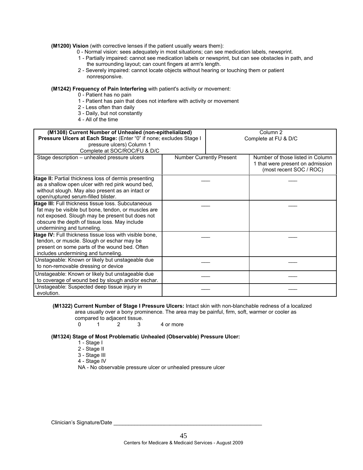#### **(M1200) Vision** (with corrective lenses if the patient usually wears them):

- 0 Normal vision: sees adequately in most situations; can see medication labels, newsprint.
- 1 Partially impaired: cannot see medication labels or newsprint, but can see obstacles in path, and the surrounding layout; can count fingers at arm's length.
- 2 Severely impaired: cannot locate objects without hearing or touching them or patient nonresponsive.

#### **(M1242) Frequency of Pain Interfering** with patient's activity or movement:

- 0 Patient has no pain
- 1 Patient has pain that does not interfere with activity or movement
- 2 Less often than daily
- 3 Daily, but not constantly
- 4 All of the time

| (M1308) Current Number of Unhealed (non-epithelialized)<br>Pressure Ulcers at Each Stage: (Enter "0" if none; excludes Stage I<br>pressure ulcers) Column 1<br>Complete at SOC/ROC/FU & D/C                                                  |  |                                 | Column 2<br>Complete at FU & D/C                                                                |
|----------------------------------------------------------------------------------------------------------------------------------------------------------------------------------------------------------------------------------------------|--|---------------------------------|-------------------------------------------------------------------------------------------------|
| Stage description – unhealed pressure ulcers                                                                                                                                                                                                 |  | <b>Number Currently Present</b> | Number of those listed in Column<br>1 that were present on admission<br>(most recent SOC / ROC) |
| Stage II: Partial thickness loss of dermis presenting<br>as a shallow open ulcer with red pink wound bed,<br>without slough. May also present as an intact or<br>open/ruptured serum-filled blister.                                         |  |                                 |                                                                                                 |
| Stage III: Full thickness tissue loss. Subcutaneous<br>fat may be visible but bone, tendon, or muscles are<br>not exposed. Slough may be present but does not<br>obscure the depth of tissue loss. May include<br>undermining and tunneling. |  |                                 |                                                                                                 |
| Stage IV: Full thickness tissue loss with visible bone,<br>tendon, or muscle. Slough or eschar may be<br>present on some parts of the wound bed. Often<br>includes undermining and tunneling.                                                |  |                                 |                                                                                                 |
| Unstageable: Known or likely but unstageable due<br>to non-removable dressing or device                                                                                                                                                      |  |                                 |                                                                                                 |
| Unstageable: Known or likely but unstageable due<br>to coverage of wound bed by slough and/or eschar.                                                                                                                                        |  |                                 |                                                                                                 |
| Unstageable: Suspected deep tissue injury in<br>evolution.                                                                                                                                                                                   |  |                                 |                                                                                                 |

#### **(M1322) Current Number of Stage I Pressure Ulcers:** Intact skin with non-blanchable redness of a localized area usually over a bony prominence. The area may be painful, firm, soft, warmer or cooler as compared to adjacent tissue.

0 1 2 3 4 or more

#### **(M1324) Stage of Most Problematic Unhealed (Observable) Pressure Ulcer:**

- 1 Stage I
- 2 Stage II
- 3 Stage III
- 4 Stage IV

NA - No observable pressure ulcer or unhealed pressure ulcer

Clinician's Signature/Date \_\_\_\_\_\_\_\_\_\_\_\_\_\_\_\_\_\_\_\_\_\_\_\_\_\_\_\_\_\_\_\_\_\_\_\_\_\_\_\_\_\_\_\_\_\_\_\_\_\_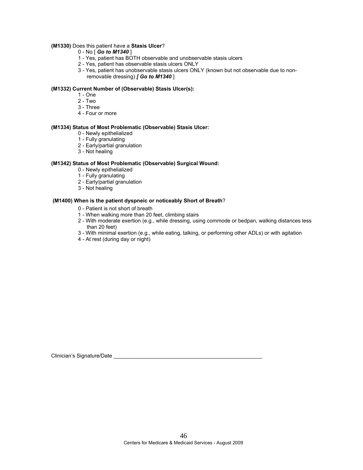#### **(M1330)** Does this patient have a **Stasis Ulcer**?

- 0 No [ *Go to M1340* ]
- 1 Yes, patient has BOTH observable and unobservable stasis ulcers
- 2 Yes, patient has observable stasis ulcers ONLY
- 3 Yes, patient has unobservable stasis ulcers ONLY (known but not observable due to nonremovable dressing) *[ Go to M1340* ]

#### **(M1332) Current Number of (Observable) Stasis Ulcer(s):**

- 1 One
- 2 Two
- 3 Three
- 4 Four or more

#### **(M1334) Status of Most Problematic (Observable) Stasis Ulcer:**

- 0 Newly epithelialized
- 1 Fully granulating
- 2 Early/partial granulation
- 3 Not healing

#### **(M1342) Status of Most Problematic (Observable) Surgical Wound:**

- 0 Newly epithelialized
- 1 Fully granulating
- 2 Early/partial granulation
- 3 Not healing

#### **(M1400) When is the patient dyspneic or noticeably Short of Breath**?

- 0 Patient is not short of breath
- 1 When walking more than 20 feet, climbing stairs
- 2 With moderate exertion (e.g., while dressing, using commode or bedpan, walking distances less than 20 feet)
- 3 With minimal exertion (e.g., while eating, talking, or performing other ADLs) or with agitation
- 4 At rest (during day or night)

Clinician's Signature/Date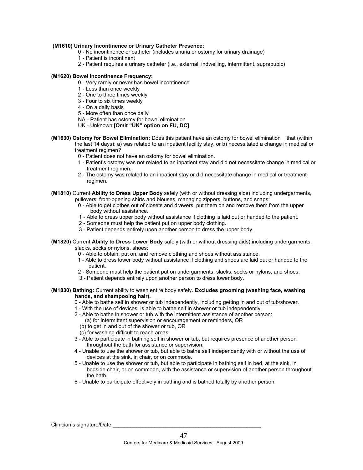#### **(M1610) Urinary Incontinence or Urinary Catheter Presence:**

- 0 No incontinence or catheter (includes anuria or ostomy for urinary drainage)
- 1 Patient is incontinent
- 2 Patient requires a urinary catheter (i.e., external, indwelling, intermittent, suprapubic)

#### **(M1620) Bowel Incontinence Frequency:**

- 0 Very rarely or never has bowel incontinence
- 1 Less than once weekly
- 2 One to three times weekly
- 3 Four to six times weekly
- 4 On a daily basis
- 5 More often than once daily
- NA Patient has ostomy for bowel elimination
- UK Unknown **[Omit "UK" option on FU, DC]**
- **(M1630) Ostomy for Bowel Elimination:** Does this patient have an ostomy for bowel elimination that (within the last 14 days): a) was related to an inpatient facility stay, or b) necessitated a change in medical or treatment regimen?
	- 0 Patient does not have an ostomy for bowel elimination.
	- 1 Patient's ostomy was not related to an inpatient stay and did not necessitate change in medical or treatment regimen.
	- 2 The ostomy was related to an inpatient stay or did necessitate change in medical or treatment regimen.

#### **(M1810)** Current **Ability to Dress Upper Body** safely (with or without dressing aids) including undergarments, pullovers, front-opening shirts and blouses, managing zippers, buttons, and snaps:

- 0 Able to get clothes out of closets and drawers, put them on and remove them from the upper body without assistance.
- 1 Able to dress upper body without assistance if clothing is laid out or handed to the patient.
- 2 Someone must help the patient put on upper body clothing.
- 3 Patient depends entirely upon another person to dress the upper body.
- **(M1820)** Current **Ability to Dress Lower Body** safely (with or without dressing aids) including undergarments, slacks, socks or nylons, shoes:
	- 0 Able to obtain, put on, and remove clothing and shoes without assistance.
	- 1 Able to dress lower body without assistance if clothing and shoes are laid out or handed to the patient.
	- 2 Someone must help the patient put on undergarments, slacks, socks or nylons, and shoes.
	- 3 Patient depends entirely upon another person to dress lower body.

#### **(M1830) Bathing:** Current ability to wash entire body safely. **Excludes grooming (washing face, washing hands, and shampooing hair).**

- 0 Able to bathe self in shower or tub independently, including getting in and out of tub/shower.
- 1 With the use of devices, is able to bathe self in shower or tub independently,
- 2 Able to bathe in shower or tub with the intermittent assistance of another person:
	- (a) for intermittent supervision or encouragement or reminders, OR
	- (b) to get in and out of the shower or tub, OR
	- (c) for washing difficult to reach areas.
- 3 Able to participate in bathing self in shower or tub, but requires presence of another person throughout the bath for assistance or supervision.
- 4 Unable to use the shower or tub, but able to bathe self independently with or without the use of devices at the sink, in chair, or on commode.
- 5 Unable to use the shower or tub, but able to participate in bathing self in bed, at the sink, in bedside chair, or on commode, with the assistance or supervision of another person throughout the bath.
- 6 Unable to participate effectively in bathing and is bathed totally by another person.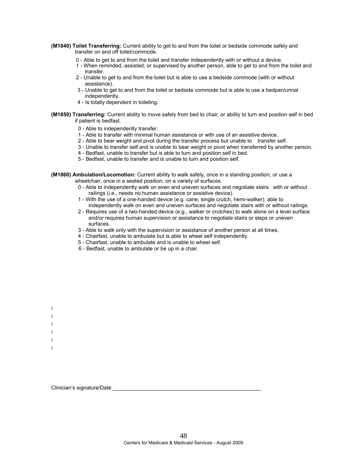- **(M1840) Toilet Transferring:** Current ability to get to and from the toilet or bedside commode safely and transfer on and off toilet/commode.
	- 0 Able to get to and from the toilet and transfer independently with or without a device.
	- 1 When reminded, assisted, or supervised by another person, able to get to and from the toilet and transfer.
	- 2 Unable to get to and from the toilet but is able to use a bedside commode (with or without assistance).
	- 3 Unable to get to and from the toilet or bedside commode but is able to use a bedpan/urinal independently.
	- 4 Is totally dependent in toileting.
- **(M1850) Transferring:** Current ability to move safely from bed to chair, or ability to turn and position self in bed if patient is bedfast.
	- 0 Able to independently transfer.
	- 1 Able to transfer with minimal human assistance or with use of an assistive device.
	- 2 Able to bear weight and pivot during the transfer process but unable to transfer self.
	- 3 Unable to transfer self and is unable to bear weight or pivot when transferred by another person.
	- 4 Bedfast, unable to transfer but is able to turn and position self in bed.
	- 5 Bedfast, unable to transfer and is unable to turn and position self.

**(M1860) Ambulation/Locomotion:** Current ability to walk safely, once in a standing position, or use a wheelchair, once in a seated position, on a variety of surfaces.

- 0 Able to independently walk on even and uneven surfaces and negotiate stairs with or without railings (i.e., needs no human assistance or assistive device).
- 1 With the use of a one-handed device (e.g. cane, single crutch, hemi-walker), able to independently walk on even and uneven surfaces and negotiate stairs with or without railings.
- 2 Requires use of a two-handed device (e.g., walker or crutches) to walk alone on a level surface and/or requires human supervision or assistance to negotiate stairs or steps or uneven surfaces.
- 3 Able to walk only with the supervision or assistance of another person at all times.
- 4 Chairfast, unable to ambulate but is able to wheel self independently.
- 5 Chairfast, unable to ambulate and is unable to wheel self.
- 6 Bedfast, unable to ambulate or be up in a chair.

Clinician's signature/Date \_\_\_\_\_\_\_\_\_\_\_\_\_\_\_\_\_\_\_\_\_\_\_\_\_\_\_\_\_\_\_\_\_\_\_\_\_\_\_\_\_\_\_\_\_\_\_\_\_\_

j j j j j j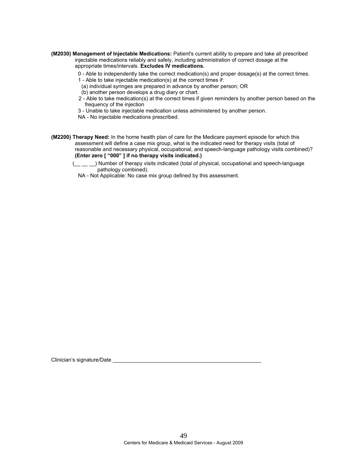- **(M2030) Management of Injectable Medications:** Patient's current ability to prepare and take all prescribed injectable medications reliably and safely, including administration of correct dosage at the appropriate times/intervals. **Excludes IV medications.** 
	- 0 Able to independently take the correct medication(s) and proper dosage(s) at the correct times.
	- 1 Able to take injectable medication(s) at the correct times if:
	- (a) individual syringes are prepared in advance by another person; OR
	- (b) another person develops a drug diary or chart.
	- 2 Able to take medication(s) at the correct times if given reminders by another person based on the frequency of the injection
	- 3 Unable to take injectable medication unless administered by another person.
	- NA No injectable medications prescribed.
- **(M2200) Therapy Need:** In the home health plan of care for the Medicare payment episode for which this assessment will define a case mix group, what is the indicated need for therapy visits (total of reasonable and necessary physical, occupational, and speech-language pathology visits combined)? **(Enter zero [ "000" ] if no therapy visits indicated.)** 
	- (1) Number of therapy visits indicated (total of physical, occupational and speech-language pathology combined).
	- NA Not Applicable: No case mix group defined by this assessment.

Clinician's signature/Date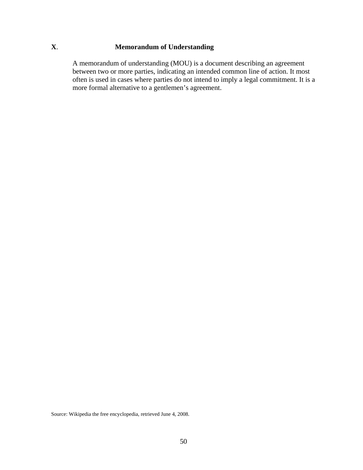# **X**. **Memorandum of Understanding**

A memorandum of understanding (MOU) is a document describing an agreement between two or more parties, indicating an intended common line of action. It most often is used in cases where parties do not intend to imply a legal commitment. It is a more formal alternative to a gentlemen's agreement.

Source: Wikipedia the free encyclopedia, retrieved June 4, 2008.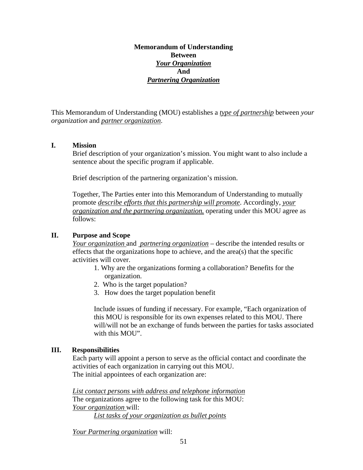## **Memorandum of Understanding Between**  *Your Organization*  **And**  *Partnering Organization*

This Memorandum of Understanding (MOU) establishes a *type of partnership* between *your organization* and *partner organization*.

## **I. Mission**

Brief description of your organization's mission. You might want to also include a sentence about the specific program if applicable.

Brief description of the partnering organization's mission.

Together, The Parties enter into this Memorandum of Understanding to mutually promote *describe efforts that this partnership will promote*. Accordingly, *your organization and the partnering organization.* operating under this MOU agree as follows:

## **II. Purpose and Scope**

*Your organization* and *partnering organization* – describe the intended results or effects that the organizations hope to achieve, and the area(s) that the specific activities will cover.

- 1. Why are the organizations forming a collaboration? Benefits for the organization.
- 2. Who is the target population?
- 3. How does the target population benefit

Include issues of funding if necessary. For example, "Each organization of this MOU is responsible for its own expenses related to this MOU. There will/will not be an exchange of funds between the parties for tasks associated with this MOU".

# **III. Responsibilities**

Each party will appoint a person to serve as the official contact and coordinate the activities of each organization in carrying out this MOU. The initial appointees of each organization are:

*List contact persons with address and telephone information*  The organizations agree to the following task for this MOU: *Your organization* will: *List tasks of your organization as bullet points*

*Your Partnering organization* will: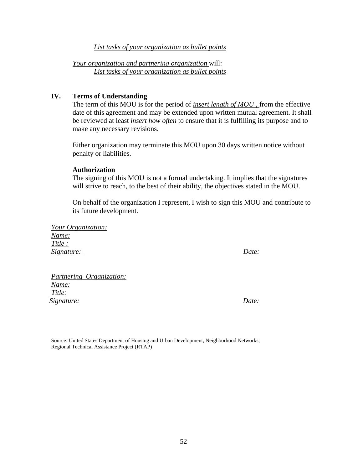## *List tasks of your organization as bullet points*

*Your organization and partnering organization* will: *List tasks of your organization as bullet points*

## **IV. Terms of Understanding**

The term of this MOU is for the period of *insert length of MOU ,* from the effective date of this agreement and may be extended upon written mutual agreement. It shall be reviewed at least *insert how often* to ensure that it is fulfilling its purpose and to make any necessary revisions.

 Either organization may terminate this MOU upon 30 days written notice without penalty or liabilities.

#### **Authorization**

 The signing of this MOU is not a formal undertaking. It implies that the signatures will strive to reach, to the best of their ability, the objectives stated in the MOU.

 On behalf of the organization I represent, I wish to sign this MOU and contribute to its future development.

*Your Organization: Name: Title : Signature: Date:* 

| Partnering Organization: |       |
|--------------------------|-------|
| Name:                    |       |
| Title:                   |       |
| Signature:               | Date: |

Source: United States Department of Housing and Urban Development, Neighborhood Networks, Regional Technical Assistance Project (RTAP)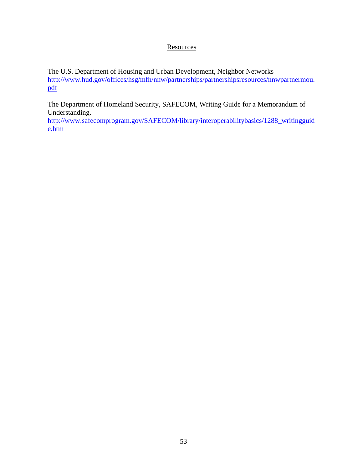# **Resources**

The U.S. Department of Housing and Urban Development, Neighbor Networks http://www.hud.gov/offices/hsg/mfh/nnw/partnerships/partnershipsresources/nnwpartnermou. pdf

The Department of Homeland Security, SAFECOM, Writing Guide for a Memorandum of Understanding.

http://www.safecomprogram.gov/SAFECOM/library/interoperabilitybasics/1288\_writingguid e.htm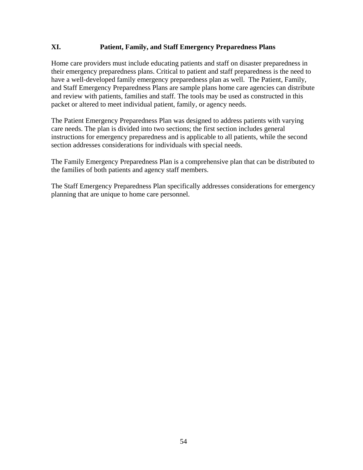## **XI. Patient, Family, and Staff Emergency Preparedness Plans**

Home care providers must include educating patients and staff on disaster preparedness in their emergency preparedness plans. Critical to patient and staff preparedness is the need to have a well-developed family emergency preparedness plan as well. The Patient, Family, and Staff Emergency Preparedness Plans are sample plans home care agencies can distribute and review with patients, families and staff. The tools may be used as constructed in this packet or altered to meet individual patient, family, or agency needs.

The Patient Emergency Preparedness Plan was designed to address patients with varying care needs. The plan is divided into two sections; the first section includes general instructions for emergency preparedness and is applicable to all patients, while the second section addresses considerations for individuals with special needs.

The Family Emergency Preparedness Plan is a comprehensive plan that can be distributed to the families of both patients and agency staff members.

The Staff Emergency Preparedness Plan specifically addresses considerations for emergency planning that are unique to home care personnel.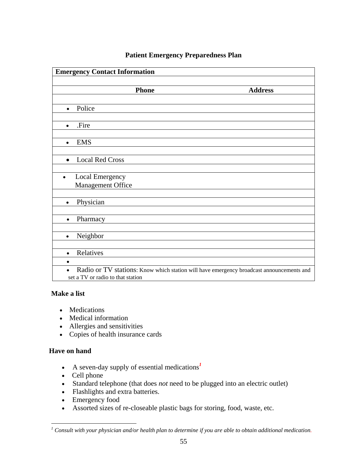| <b>Emergency Contact Information</b>                                                                  |                |
|-------------------------------------------------------------------------------------------------------|----------------|
|                                                                                                       |                |
| <b>Phone</b>                                                                                          | <b>Address</b> |
|                                                                                                       |                |
| Police<br>$\bullet$                                                                                   |                |
|                                                                                                       |                |
| .Fire<br>$\bullet$                                                                                    |                |
|                                                                                                       |                |
| <b>EMS</b><br>$\bullet$                                                                               |                |
|                                                                                                       |                |
| <b>Local Red Cross</b><br>$\bullet$                                                                   |                |
|                                                                                                       |                |
| Local Emergency<br>$\bullet$<br>Management Office                                                     |                |
|                                                                                                       |                |
| Physician<br>$\bullet$                                                                                |                |
|                                                                                                       |                |
| Pharmacy<br>$\bullet$                                                                                 |                |
|                                                                                                       |                |
| Neighbor<br>$\bullet$                                                                                 |                |
|                                                                                                       |                |
| Relatives<br>$\bullet$                                                                                |                |
| $\bullet$                                                                                             |                |
| Radio or TV stations: Know which station will have emergency broadcast announcements and<br>$\bullet$ |                |
| set a TV or radio to that station                                                                     |                |

# **Patient Emergency Preparedness Plan**

## **Make a list**

- Medications
- Medical information
- Allergies and sensitivities
- Copies of health insurance cards

# **Have on hand**

- A seven-day supply of essential medications*<sup>1</sup>*
- Cell phone
- Standard telephone (that does *not* need to be plugged into an electric outlet)
- Flashlights and extra batteries.
- Emergency food
- Assorted sizes of re-closeable plastic bags for storing, food, waste, etc.

 *1 Consult with your physician and/or health plan to determine if you are able to obtain additional medication.*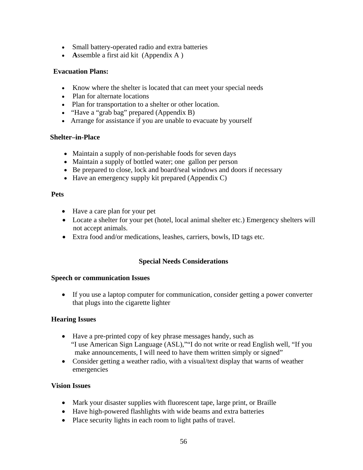- Small battery-operated radio and extra batteries
- **A**ssemble a first aid kit (Appendix A )

## **Evacuation Plans:**

- Know where the shelter is located that can meet your special needs
- Plan for alternate locations
- Plan for transportation to a shelter or other location.
- "Have a "grab bag" prepared (Appendix B)
- Arrange for assistance if you are unable to evacuate by yourself

## **Shelter–in-Place**

- Maintain a supply of non-perishable foods for seven days
- Maintain a supply of bottled water; one gallon per person
- Be prepared to close, lock and board/seal windows and doors if necessary
- Have an emergency supply kit prepared (Appendix C)

## **Pets**

- Have a care plan for your pet
- Locate a shelter for your pet (hotel, local animal shelter etc.) Emergency shelters will not accept animals.
- Extra food and/or medications, leashes, carriers, bowls, ID tags etc.

# **Special Needs Considerations**

## **Speech or communication Issues**

 If you use a laptop computer for communication, consider getting a power converter that plugs into the cigarette lighter

## **Hearing Issues**

- Have a pre-printed copy of key phrase messages handy, such as "I use American Sign Language (ASL),""I do not write or read English well, "If you make announcements, I will need to have them written simply or signed"
- Consider getting a weather radio, with a visual/text display that warns of weather emergencies

## **Vision Issues**

- Mark your disaster supplies with fluorescent tape, large print, or Braille
- Have high-powered flashlights with wide beams and extra batteries
- Place security lights in each room to light paths of travel.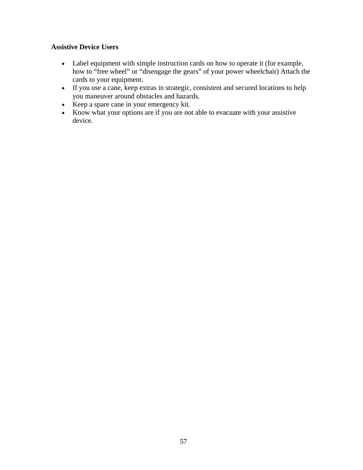## **Assistive Device Users**

- Label equipment with simple instruction cards on how to operate it (for example, how to "free wheel" or "disengage the gears" of your power wheelchair) Attach the cards to your equipment.
- If you use a cane, keep extras in strategic, consistent and secured locations to help you maneuver around obstacles and hazards.
- Keep a spare cane in your emergency kit*.*
- Know what your options are if you are not able to evacuate with your assistive device.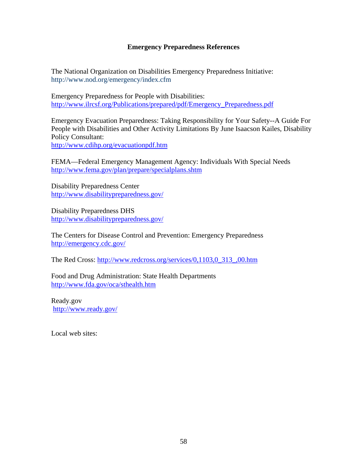### **Emergency Preparedness References**

The National Organization on Disabilities Emergency Preparedness Initiative: http://www.nod.org/emergency/index.cfm

 Emergency Preparedness for People with Disabilities: http://www.ilrcsf.org/Publications/prepared/pdf/Emergency\_Preparedness.pdf

Emergency Evacuation Preparedness: Taking Responsibility for Your Safety--A Guide For People with Disabilities and Other Activity Limitations By June Isaacson Kailes, Disability Policy Consultant: http://www.cdihp.org/evacuationpdf.htm

FEMA—Federal Emergency Management Agency: Individuals With Special Needs http://www.fema.gov/plan/prepare/specialplans.shtm

Disability Preparedness Center http://www.disabilitypreparedness.gov/

Disability Preparedness DHS http://www.disabilitypreparedness.gov/

The Centers for Disease Control and Prevention: Emergency Preparedness http://emergency.cdc.gov/

The Red Cross: http://www.redcross.org/services/0,1103,0\_313\_,00.htm

Food and Drug Administration: State Health Departments http://www.fda.gov/oca/sthealth.htm

Ready.gov http://www.ready.gov/

Local web sites: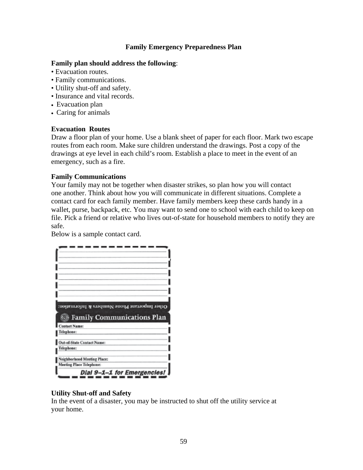## **Family Emergency Preparedness Plan**

## **Family plan should address the following**:

- Evacuation routes.
- Family communications.
- Utility shut-off and safety.
- Insurance and vital records.
- Evacuation plan
- Caring for animals

#### **Evacuation Routes**

Draw a floor plan of your home. Use a blank sheet of paper for each floor. Mark two escape routes from each room. Make sure children understand the drawings. Post a copy of the drawings at eye level in each child's room. Establish a place to meet in the event of an emergency, such as a fire.

#### **Family Communications**

Your family may not be together when disaster strikes, so plan how you will contact one another. Think about how you will communicate in different situations. Complete a contact card for each family member. Have family members keep these cards handy in a wallet, purse, backpack, etc. You may want to send one to school with each child to keep on file. Pick a friend or relative who lives out-of-state for household members to notify they are safe.

Below is a sample contact card.



## **Utility Shut-off and Safety**

In the event of a disaster, you may be instructed to shut off the utility service at your home.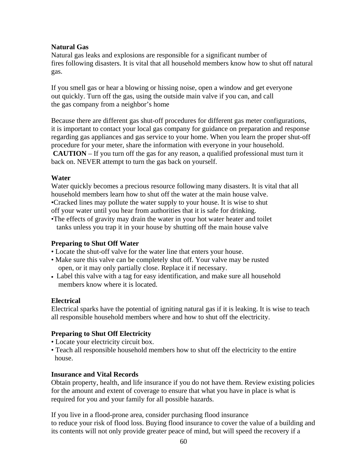## **Natural Gas**

Natural gas leaks and explosions are responsible for a significant number of fires following disasters. It is vital that all household members know how to shut off natural gas.

If you smell gas or hear a blowing or hissing noise, open a window and get everyone out quickly. Turn off the gas, using the outside main valve if you can, and call the gas company from a neighbor's home

Because there are different gas shut-off procedures for different gas meter configurations, it is important to contact your local gas company for guidance on preparation and response regarding gas appliances and gas service to your home. When you learn the proper shut-off procedure for your meter, share the information with everyone in your household.  **CAUTION** – If you turn off the gas for any reason, a qualified professional must turn it back on. NEVER attempt to turn the gas back on yourself.

## **Water**

Water quickly becomes a precious resource following many disasters. It is vital that all household members learn how to shut off the water at the main house valve. •Cracked lines may pollute the water supply to your house. It is wise to shut off your water until you hear from authorities that it is safe for drinking.

•The effects of gravity may drain the water in your hot water heater and toilet tanks unless you trap it in your house by shutting off the main house valve

# **Preparing to Shut Off Water**

• Locate the shut-off valve for the water line that enters your house.

- Make sure this valve can be completely shut off. Your valve may be rusted open, or it may only partially close. Replace it if necessary.
- Label this valve with a tag for easy identification, and make sure all household members know where it is located.

# **Electrical**

Electrical sparks have the potential of igniting natural gas if it is leaking. It is wise to teach all responsible household members where and how to shut off the electricity.

# **Preparing to Shut Off Electricity**

- Locate your electricity circuit box.
- Teach all responsible household members how to shut off the electricity to the entire house.

## **Insurance and Vital Records**

Obtain property, health, and life insurance if you do not have them. Review existing policies for the amount and extent of coverage to ensure that what you have in place is what is required for you and your family for all possible hazards.

If you live in a flood-prone area, consider purchasing flood insurance to reduce your risk of flood loss. Buying flood insurance to cover the value of a building and its contents will not only provide greater peace of mind, but will speed the recovery if a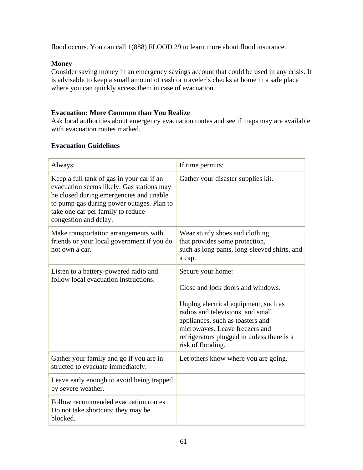flood occurs. You can call 1(888) FLOOD 29 to learn more about flood insurance.

# **Money**

Consider saving money in an emergency savings account that could be used in any crisis. It is advisable to keep a small amount of cash or traveler's checks at home in a safe place where you can quickly access them in case of evacuation.

## **Evacuation: More Common than You Realize**

Ask local authorities about emergency evacuation routes and see if maps may are available with evacuation routes marked.

## **Evacuation Guidelines**

| Always:                                                                                                                                                                                                                                      | If time permits:                                                                                                                                                                                                                                                             |
|----------------------------------------------------------------------------------------------------------------------------------------------------------------------------------------------------------------------------------------------|------------------------------------------------------------------------------------------------------------------------------------------------------------------------------------------------------------------------------------------------------------------------------|
| Keep a full tank of gas in your car if an<br>evacuation seems likely. Gas stations may<br>be closed during emergencies and unable<br>to pump gas during power outages. Plan to<br>take one car per family to reduce<br>congestion and delay. | Gather your disaster supplies kit.                                                                                                                                                                                                                                           |
| Make transportation arrangements with<br>friends or your local government if you do<br>not own a car.                                                                                                                                        | Wear sturdy shoes and clothing<br>that provides some protection,<br>such as long pants, long-sleeved shirts, and<br>a cap.                                                                                                                                                   |
| Listen to a battery-powered radio and<br>follow local evacuation instructions.                                                                                                                                                               | Secure your home:<br>Close and lock doors and windows.<br>Unplug electrical equipment, such as<br>radios and televisions, and small<br>appliances, such as toasters and<br>microwaves. Leave freezers and<br>refrigerators plugged in unless there is a<br>risk of flooding. |
| Gather your family and go if you are in-<br>structed to evacuate immediately.                                                                                                                                                                | Let others know where you are going.                                                                                                                                                                                                                                         |
| Leave early enough to avoid being trapped<br>by severe weather.                                                                                                                                                                              |                                                                                                                                                                                                                                                                              |
| Follow recommended evacuation routes.<br>Do not take shortcuts; they may be<br>blocked.                                                                                                                                                      |                                                                                                                                                                                                                                                                              |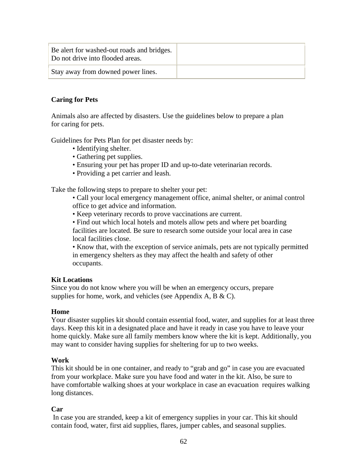| Be alert for washed-out roads and bridges.<br>Do not drive into flooded areas. |  |
|--------------------------------------------------------------------------------|--|
| Stay away from downed power lines.                                             |  |

## **Caring for Pets**

Animals also are affected by disasters. Use the guidelines below to prepare a plan for caring for pets.

Guidelines for Pets Plan for pet disaster needs by:

- Identifying shelter.
- Gathering pet supplies.
- Ensuring your pet has proper ID and up-to-date veterinarian records.
- Providing a pet carrier and leash.

Take the following steps to prepare to shelter your pet:

• Call your local emergency management office, animal shelter, or animal control office to get advice and information.

• Keep veterinary records to prove vaccinations are current.

• Find out which local hotels and motels allow pets and where pet boarding facilities are located. Be sure to research some outside your local area in case local facilities close.

• Know that, with the exception of service animals, pets are not typically permitted in emergency shelters as they may affect the health and safety of other occupants.

## **Kit Locations**

Since you do not know where you will be when an emergency occurs, prepare supplies for home, work, and vehicles (see Appendix A, B & C).

## **Home**

Your disaster supplies kit should contain essential food, water, and supplies for at least three days. Keep this kit in a designated place and have it ready in case you have to leave your home quickly. Make sure all family members know where the kit is kept. Additionally, you may want to consider having supplies for sheltering for up to two weeks.

#### **Work**

This kit should be in one container, and ready to "grab and go" in case you are evacuated from your workplace. Make sure you have food and water in the kit. Also, be sure to have comfortable walking shoes at your workplace in case an evacuation requires walking long distances.

## **Car**

 In case you are stranded, keep a kit of emergency supplies in your car. This kit should contain food, water, first aid supplies, flares, jumper cables, and seasonal supplies.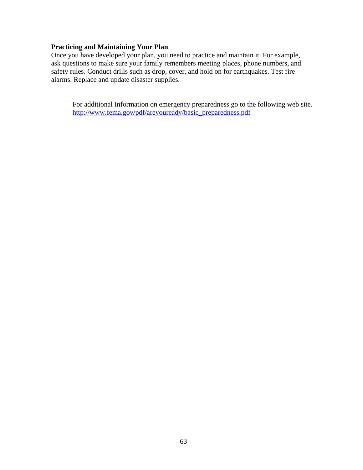## **Practicing and Maintaining Your Plan**

Once you have developed your plan, you need to practice and maintain it. For example, ask questions to make sure your family remembers meeting places, phone numbers, and safety rules. Conduct drills such as drop, cover, and hold on for earthquakes. Test fire alarms. Replace and update disaster supplies.

For additional Information on emergency preparedness go to the following web site. http://www.fema.gov/pdf/areyouready/basic\_preparedness.pdf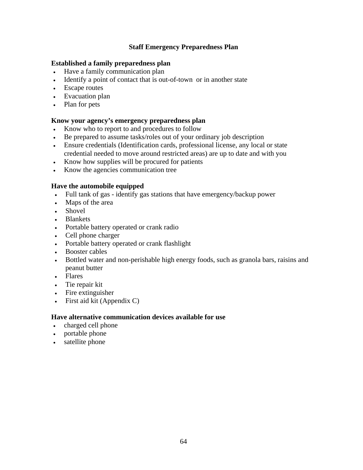# **Staff Emergency Preparedness Plan**

## **Established a family preparedness plan**

- Have a family communication plan
- Identify a point of contact that is out-of-town or in another state
- Escape routes
- Evacuation plan
- Plan for pets

## **Know your agency's emergency preparedness plan**

- Know who to report to and procedures to follow
- Be prepared to assume tasks/roles out of your ordinary job description
- Ensure credentials (Identification cards, professional license, any local or state credential needed to move around restricted areas) are up to date and with you
- Know how supplies will be procured for patients
- Know the agencies communication tree

## **Have the automobile equipped**

- Full tank of gas identify gas stations that have emergency/backup power
- Maps of the area
- Shovel
- Blankets
- Portable battery operated or crank radio
- Cell phone charger
- Portable battery operated or crank flashlight
- Booster cables
- Bottled water and non-perishable high energy foods, such as granola bars, raisins and peanut butter
- Flares
- Tie repair kit
- Fire extinguisher
- $\bullet$  First aid kit (Appendix C)

## **Have alternative communication devices available for use**

- charged cell phone
- portable phone
- satellite phone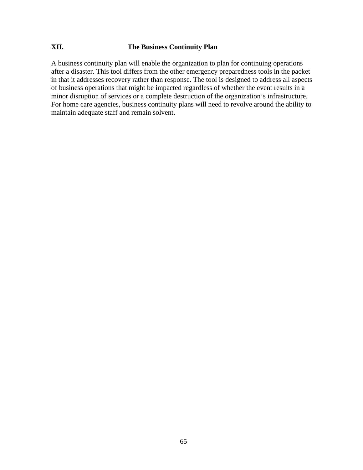# **XII. The Business Continuity Plan**

A business continuity plan will enable the organization to plan for continuing operations after a disaster. This tool differs from the other emergency preparedness tools in the packet in that it addresses recovery rather than response. The tool is designed to address all aspects of business operations that might be impacted regardless of whether the event results in a minor disruption of services or a complete destruction of the organization's infrastructure. For home care agencies, business continuity plans will need to revolve around the ability to maintain adequate staff and remain solvent.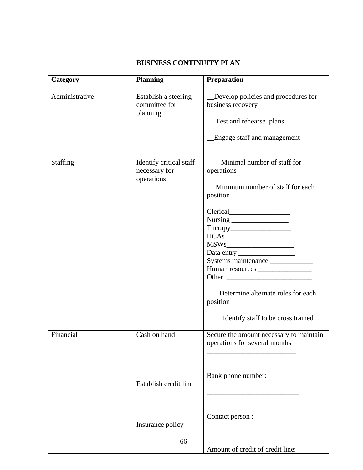# **BUSINESS CONTINUITY PLAN**

| Category        | <b>Planning</b>                                        | <b>Preparation</b>                                                       |
|-----------------|--------------------------------------------------------|--------------------------------------------------------------------------|
| Administrative  |                                                        | Develop policies and procedures for                                      |
|                 | Establish a steering<br>committee for<br>planning      | business recovery                                                        |
|                 |                                                        | _Test and rehearse plans                                                 |
|                 |                                                        | Engage staff and management                                              |
| <b>Staffing</b> | Identify critical staff<br>necessary for<br>operations | Minimal number of staff for<br>operations                                |
|                 |                                                        | _Minimum number of staff for each<br>position                            |
|                 |                                                        | Clerical                                                                 |
|                 |                                                        |                                                                          |
|                 |                                                        |                                                                          |
|                 |                                                        |                                                                          |
|                 |                                                        |                                                                          |
|                 |                                                        | Systems maintenance _____________<br>Human resources                     |
|                 |                                                        |                                                                          |
|                 |                                                        | Determine alternate roles for each<br>position                           |
|                 |                                                        | Identify staff to be cross trained                                       |
| Financial       | Cash on hand                                           | Secure the amount necessary to maintain<br>operations for several months |
|                 |                                                        |                                                                          |
|                 | Establish credit line                                  | Bank phone number:                                                       |
|                 |                                                        |                                                                          |
|                 | Insurance policy                                       | Contact person:                                                          |
|                 | 66                                                     | Amount of credit of credit line:                                         |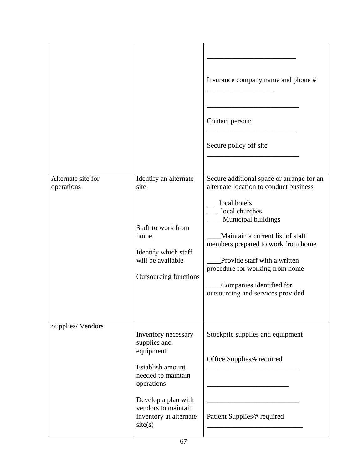| Alternate site for<br>operations | Identify an alternate<br>site<br>Staff to work from<br>home.<br>Identify which staff<br>will be available<br><b>Outsourcing functions</b>                                                   | Insurance company name and phone #<br>Contact person:<br>Secure policy off site<br>Secure additional space or arrange for an<br>alternate location to conduct business<br>local hotels<br>local churches<br>Municipal buildings<br>Maintain a current list of staff<br>members prepared to work from home<br>Provide staff with a written<br>procedure for working from home<br>Companies identified for<br>outsourcing and services provided |
|----------------------------------|---------------------------------------------------------------------------------------------------------------------------------------------------------------------------------------------|-----------------------------------------------------------------------------------------------------------------------------------------------------------------------------------------------------------------------------------------------------------------------------------------------------------------------------------------------------------------------------------------------------------------------------------------------|
| Supplies/Vendors                 | Inventory necessary<br>supplies and<br>equipment<br>Establish amount<br>needed to maintain<br>operations<br>Develop a plan with<br>vendors to maintain<br>inventory at alternate<br>site(s) | Stockpile supplies and equipment<br>Office Supplies/# required<br>Patient Supplies/# required                                                                                                                                                                                                                                                                                                                                                 |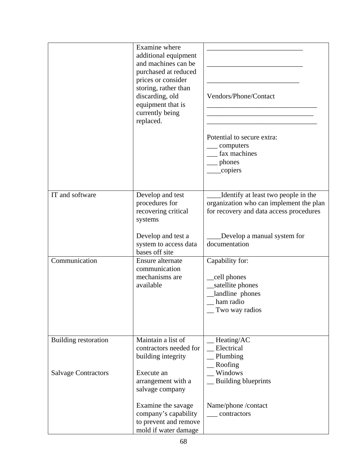|                            | Examine where<br>additional equipment<br>and machines can be<br>purchased at reduced<br>prices or consider<br>storing, rather than<br>discarding, old<br>equipment that is<br>currently being<br>replaced. | Vendors/Phone/Contact<br>Potential to secure extra:<br>computers<br>fax machines<br>phones<br>copiers                     |
|----------------------------|------------------------------------------------------------------------------------------------------------------------------------------------------------------------------------------------------------|---------------------------------------------------------------------------------------------------------------------------|
| IT and software            | Develop and test<br>procedures for<br>recovering critical<br>systems                                                                                                                                       | Identify at least two people in the<br>organization who can implement the plan<br>for recovery and data access procedures |
|                            | Develop and test a<br>system to access data<br>bases off site                                                                                                                                              | Develop a manual system for<br>documentation                                                                              |
| Communication              | Ensure alternate<br>communication<br>mechanisms are<br>available                                                                                                                                           | Capability for:<br>cell phones<br>satellite phones<br>landline phones<br>ham radio<br>Two way radios                      |
| Building restoration       | Maintain a list of<br>contractors needed for<br>building integrity                                                                                                                                         | Heating/AC<br>Electrical<br>Plumbing<br>Roofing                                                                           |
| <b>Salvage Contractors</b> | Execute an<br>arrangement with a<br>salvage company                                                                                                                                                        | Windows<br><b>Building blueprints</b>                                                                                     |
|                            | Examine the savage<br>company's capability<br>to prevent and remove<br>mold if water damage                                                                                                                | Name/phone /contact<br>contractors                                                                                        |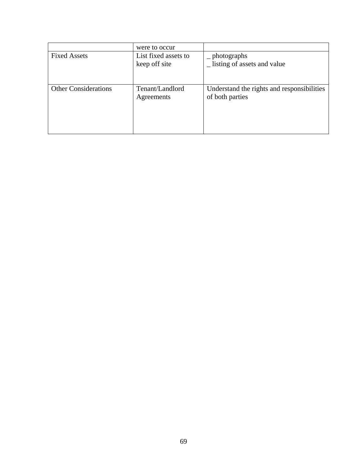|                             | were to occur                         |                                                               |
|-----------------------------|---------------------------------------|---------------------------------------------------------------|
| <b>Fixed Assets</b>         | List fixed assets to<br>keep off site | $-$ photographs<br>_ listing of assets and value              |
| <b>Other Considerations</b> | Tenant/Landlord<br>Agreements         | Understand the rights and responsibilities<br>of both parties |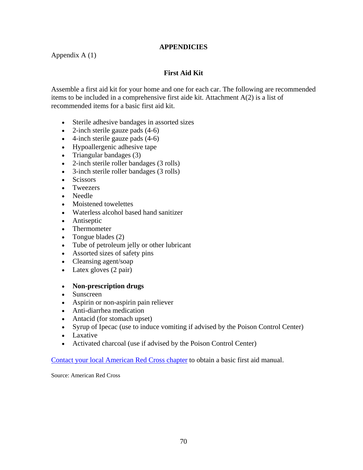## **APPENDICIES**

Appendix A (1)

# **First Aid Kit**

Assemble a first aid kit for your home and one for each car. The following are recommended items to be included in a comprehensive first aide kit. Attachment A(2) is a list of recommended items for a basic first aid kit.

- Sterile adhesive bandages in assorted sizes
- 2-inch sterile gauze pads  $(4-6)$
- $\bullet$  4-inch sterile gauze pads  $(4-6)$
- Hypoallergenic adhesive tape
- Triangular bandages  $(3)$
- 2-inch sterile roller bandages (3 rolls)
- 3-inch sterile roller bandages (3 rolls)
- Scissors
- Tweezers
- Needle
- Moistened towelettes
- Waterless alcohol based hand sanitizer
- Antiseptic
- Thermometer
- Tongue blades  $(2)$
- Tube of petroleum jelly or other lubricant
- Assorted sizes of safety pins
- Cleansing agent/soap
- Latex gloves (2 pair)

## **Non-prescription drugs**

- Sunscreen
- Aspirin or non-aspirin pain reliever
- Anti-diarrhea medication
- Antacid (for stomach upset)
- Syrup of Ipecac (use to induce vomiting if advised by the Poison Control Center)
- Laxative
- Activated charcoal (use if advised by the Poison Control Center)

Contact your local American Red Cross chapter to obtain a basic first aid manual.

Source: American Red Cross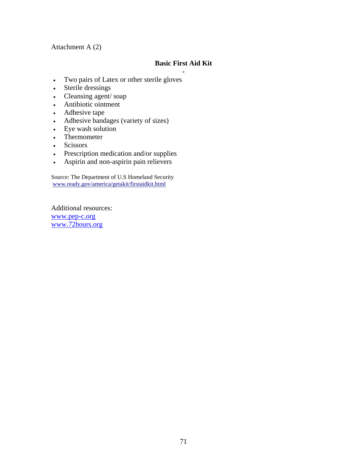Attachment A (2)

#### **Basic First Aid Kit -**

- Two pairs of Latex or other sterile gloves
- Sterile dressings
- Cleansing agent/soap
- Antibiotic ointment
- Adhesive tape
- Adhesive bandages (variety of sizes)
- Eye wash solution
- Thermometer
- Scissors
- Prescription medication and/or supplies
- Aspirin and non-aspirin pain relievers

Source: The Department of U.S Homeland Security www.ready.gov/america/getakit/firstaidkit.html

Additional resources: www.pep-c.org www.72hours.org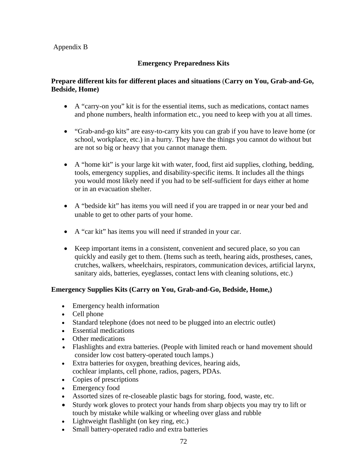## Appendix B

# **Emergency Preparedness Kits**

## **Prepare different kits for different places and situations** (**Carry on You, Grab-and-Go, Bedside, Home)**

- A "carry-on you" kit is for the essential items, such as medications, contact names and phone numbers, health information etc., you need to keep with you at all times.
- "Grab-and-go kits" are easy-to-carry kits you can grab if you have to leave home (or school, workplace, etc.) in a hurry. They have the things you cannot do without but are not so big or heavy that you cannot manage them.
- A "home kit" is your large kit with water, food, first aid supplies, clothing, bedding, tools, emergency supplies, and disability-specific items. It includes all the things you would most likely need if you had to be self-sufficient for days either at home or in an evacuation shelter.
- A "bedside kit" has items you will need if you are trapped in or near your bed and unable to get to other parts of your home.
- A "car kit" has items you will need if stranded in your car.
- Keep important items in a consistent, convenient and secured place, so you can quickly and easily get to them. (Items such as teeth, hearing aids, prostheses, canes, crutches, walkers, wheelchairs, respirators, communication devices, artificial larynx, sanitary aids, batteries, eyeglasses, contact lens with cleaning solutions, etc.)

## **Emergency Supplies Kits (Carry on You, Grab-and-Go, Bedside, Home,)**

- Emergency health information
- Cell phone
- Standard telephone (does not need to be plugged into an electric outlet)
- Essential medications
- Other medications
- Flashlights and extra batteries. (People with limited reach or hand movement should consider low cost battery-operated touch lamps.)
- Extra batteries for oxygen, breathing devices, hearing aids, cochlear implants, cell phone, radios, pagers, PDAs.
- Copies of prescriptions
- Emergency food
- Assorted sizes of re-closeable plastic bags for storing, food, waste, etc.
- Sturdy work gloves to protect your hands from sharp objects you may try to lift or touch by mistake while walking or wheeling over glass and rubble
- Lightweight flashlight (on key ring, etc.)
- Small battery-operated radio and extra batteries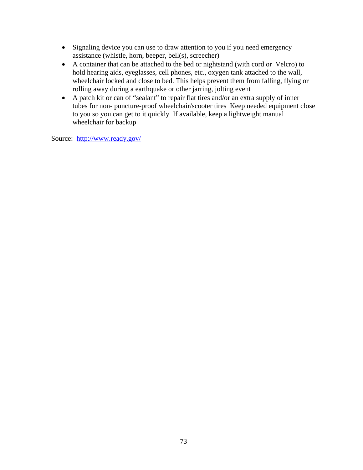- Signaling device you can use to draw attention to you if you need emergency assistance (whistle, horn, beeper, bell(s), screecher)
- A container that can be attached to the bed or nightstand (with cord or Velcro) to hold hearing aids, eyeglasses, cell phones, etc., oxygen tank attached to the wall, wheelchair locked and close to bed. This helps prevent them from falling, flying or rolling away during a earthquake or other jarring, jolting event
- A patch kit or can of "sealant" to repair flat tires and/or an extra supply of inner tubes for non- puncture-proof wheelchair/scooter tires Keep needed equipment close to you so you can get to it quickly If available, keep a lightweight manual wheelchair for backup

Source: http://www.ready.gov/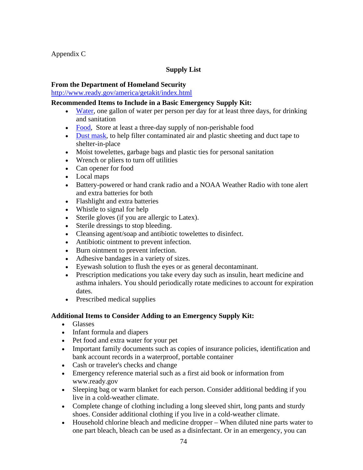Appendix C

# **Supply List**

#### **From the Department of Homeland Security**

http://www.ready.gov/america/getakit/index.html

## **Recommended Items to Include in a Basic Emergency Supply Kit:**

- Water, one gallon of water per person per day for at least three days, for drinking and sanitation
- Food, Store at least a three-day supply of non-perishable food
- Dust mask, to help filter contaminated air and plastic sheeting and duct tape to shelter-in-place
- Moist towelettes, garbage bags and plastic ties for personal sanitation
- Wrench or pliers to turn off utilities
- Can opener for food
- Local maps
- Battery-powered or hand crank radio and a NOAA Weather Radio with tone alert and extra batteries for both
- Flashlight and extra batteries
- Whistle to signal for help
- Sterile gloves (if you are allergic to Latex).
- Sterile dressings to stop bleeding.
- Cleansing agent/soap and antibiotic towelettes to disinfect.
- Antibiotic ointment to prevent infection.
- Burn ointment to prevent infection.
- Adhesive bandages in a variety of sizes.
- Eyewash solution to flush the eyes or as general decontaminant.
- Prescription medications you take every day such as insulin, heart medicine and asthma inhalers. You should periodically rotate medicines to account for expiration dates.
- Prescribed medical supplies

## **Additional Items to Consider Adding to an Emergency Supply Kit:**

- Glasses
- Infant formula and diapers
- Pet food and extra water for your pet
- Important family documents such as copies of insurance policies, identification and bank account records in a waterproof, portable container
- Cash or traveler's checks and change
- Emergency reference material such as a first aid book or information from www.ready.gov
- Sleeping bag or warm blanket for each person. Consider additional bedding if you live in a cold-weather climate.
- Complete change of clothing including a long sleeved shirt, long pants and sturdy shoes. Consider additional clothing if you live in a cold-weather climate.
- Household chlorine bleach and medicine dropper When diluted nine parts water to one part bleach, bleach can be used as a disinfectant. Or in an emergency, you can